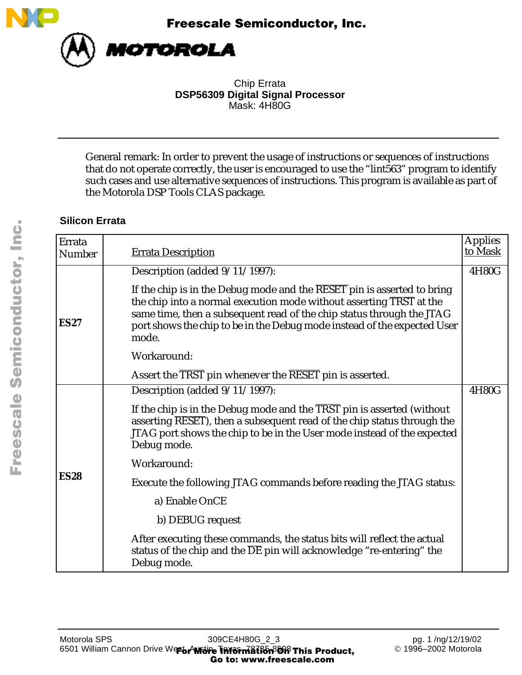



Chip Errata **DSP56309 Digital Signal Processor** Mask: 4H80G

General remark: In order to prevent the usage of instructions or sequences of instructions that do not operate correctly, the user is encouraged to use the "lint563" program to identify such cases and use alternative sequences of instructions. This program is available as part of the Motorola DSP Tools CLAS package.

### **Silicon Errata**

| Errata<br><b>Number</b> | <b>Errata Description</b>                                                                                                                                                                                                                                                                                                        | <b>Applies</b><br>to Mask |
|-------------------------|----------------------------------------------------------------------------------------------------------------------------------------------------------------------------------------------------------------------------------------------------------------------------------------------------------------------------------|---------------------------|
| <b>ES27</b>             | Description (added 9/11/1997):                                                                                                                                                                                                                                                                                                   | 4H80G                     |
|                         | If the chip is in the Debug mode and the $\overline{\text{RESET}}$ pin is asserted to bring<br>the chip into a normal execution mode without asserting TRST at the<br>same time, then a subsequent read of the chip status through the JTAG<br>port shows the chip to be in the Debug mode instead of the expected User<br>mode. |                           |
|                         | Workaround:                                                                                                                                                                                                                                                                                                                      |                           |
|                         | Assert the TRST pin whenever the RESET pin is asserted.                                                                                                                                                                                                                                                                          |                           |
|                         | Description (added 9/11/1997):                                                                                                                                                                                                                                                                                                   | 4H80G                     |
|                         | If the chip is in the Debug mode and the TRST pin is asserted (without<br>asserting RESET), then a subsequent read of the chip status through the<br>JTAG port shows the chip to be in the User mode instead of the expected<br>Debug mode.                                                                                      |                           |
|                         | Workaround:                                                                                                                                                                                                                                                                                                                      |                           |
| <b>ES28</b>             | Execute the following JTAG commands before reading the JTAG status:                                                                                                                                                                                                                                                              |                           |
|                         | a) Enable OnCE                                                                                                                                                                                                                                                                                                                   |                           |
|                         | b) DEBUG request                                                                                                                                                                                                                                                                                                                 |                           |
|                         | After executing these commands, the status bits will reflect the actual<br>status of the chip and the $\overline{DE}$ pin will acknowledge "re-entering" the<br>Debug mode.                                                                                                                                                      |                           |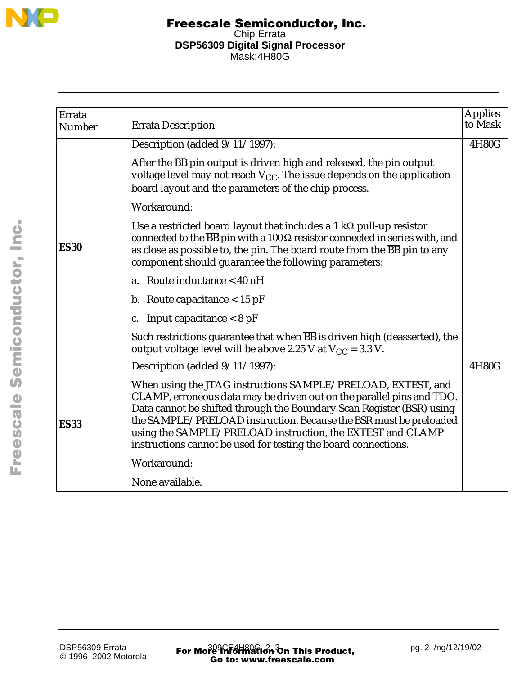

| Errata        |                                                                                                                                                                                                                                                                                                                                                                                                                     | <b>Applies</b> |
|---------------|---------------------------------------------------------------------------------------------------------------------------------------------------------------------------------------------------------------------------------------------------------------------------------------------------------------------------------------------------------------------------------------------------------------------|----------------|
| <b>Number</b> | <b>Errata Description</b>                                                                                                                                                                                                                                                                                                                                                                                           | to Mask        |
|               | Description (added $9/11/1997$ ):                                                                                                                                                                                                                                                                                                                                                                                   | 4H80G          |
|               | After the BB pin output is driven high and released, the pin output<br>voltage level may not reach $V_{CC}$ . The issue depends on the application<br>board layout and the parameters of the chip process.                                                                                                                                                                                                          |                |
|               | Workaround:                                                                                                                                                                                                                                                                                                                                                                                                         |                |
| <b>ES30</b>   | Use a restricted board layout that includes a 1 $k\Omega$ pull-up resistor<br>connected to the $\overline{BB}$ pin with a 100 $\Omega$ resistor connected in series with, and<br>as close as possible to, the pin. The board route from the $\overline{BB}$ pin to any<br>component should guarantee the following parameters:                                                                                      |                |
|               | a. Route inductance < 40 nH                                                                                                                                                                                                                                                                                                                                                                                         |                |
|               | b. Route capacitance $< 15$ pF                                                                                                                                                                                                                                                                                                                                                                                      |                |
|               | Input capacitance $< 8$ pF<br>C.                                                                                                                                                                                                                                                                                                                                                                                    |                |
|               | Such restrictions guarantee that when BB is driven high (deasserted), the<br>output voltage level will be above 2.25 V at $V_{CC}$ = 3.3 V.                                                                                                                                                                                                                                                                         |                |
|               | Description (added 9/11/1997):                                                                                                                                                                                                                                                                                                                                                                                      | 4H80G          |
| <b>ES33</b>   | When using the JTAG instructions SAMPLE/PRELOAD, EXTEST, and<br>CLAMP, erroneous data may be driven out on the parallel pins and TDO.<br>Data cannot be shifted through the Boundary Scan Register (BSR) using<br>the SAMPLE/PRELOAD instruction. Because the BSR must be preloaded<br>using the SAMPLE/PRELOAD instruction, the EXTEST and CLAMP<br>instructions cannot be used for testing the board connections. |                |
|               | Workaround:                                                                                                                                                                                                                                                                                                                                                                                                         |                |
|               | None available.                                                                                                                                                                                                                                                                                                                                                                                                     |                |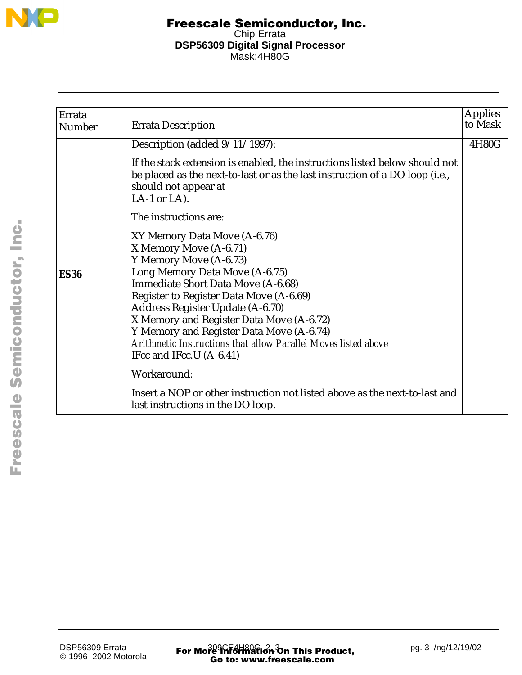

| Errata        |                                                                                                                                                                                                                                                                                                                                                                                                                               | <b>Applies</b> |
|---------------|-------------------------------------------------------------------------------------------------------------------------------------------------------------------------------------------------------------------------------------------------------------------------------------------------------------------------------------------------------------------------------------------------------------------------------|----------------|
| <b>Number</b> | <b>Errata Description</b>                                                                                                                                                                                                                                                                                                                                                                                                     | to Mask        |
|               | Description (added $9/11/1997$ ):                                                                                                                                                                                                                                                                                                                                                                                             | 4H80G          |
|               | If the stack extension is enabled, the instructions listed below should not<br>be placed as the next-to-last or as the last instruction of a DO loop (i.e.,<br>should not appear at<br>LA-1 or LA).                                                                                                                                                                                                                           |                |
|               | The instructions are:                                                                                                                                                                                                                                                                                                                                                                                                         |                |
| <b>ES36</b>   | XY Memory Data Move (A-6.76)<br>X Memory Move (A-6.71)<br>Y Memory Move (A-6.73)<br>Long Memory Data Move (A-6.75)<br>Immediate Short Data Move (A-6.68)<br>Register to Register Data Move (A-6.69)<br>Address Register Update (A-6.70)<br>X Memory and Register Data Move (A-6.72)<br>Y Memory and Register Data Move (A-6.74)<br>Arithmetic Instructions that allow Parallel Moves listed above<br>IFcc and IFcc.U (A-6.41) |                |
|               | Workaround:                                                                                                                                                                                                                                                                                                                                                                                                                   |                |
|               | Insert a NOP or other instruction not listed above as the next-to-last and<br>last instructions in the DO loop.                                                                                                                                                                                                                                                                                                               |                |

F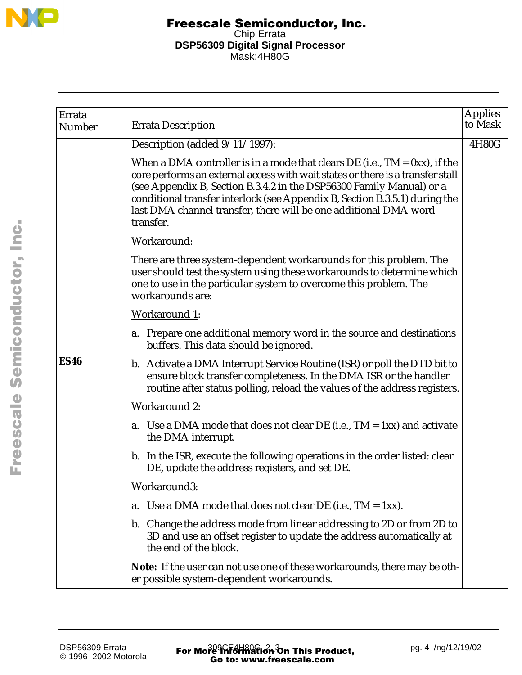

| Errata<br>Number | <b>Errata Description</b>                                                                                                                                                                                                                                                                                                                                                                                         | <b>Applies</b><br>to Mask |
|------------------|-------------------------------------------------------------------------------------------------------------------------------------------------------------------------------------------------------------------------------------------------------------------------------------------------------------------------------------------------------------------------------------------------------------------|---------------------------|
|                  | Description (added 9/11/1997):                                                                                                                                                                                                                                                                                                                                                                                    | 4H80G                     |
|                  | When a DMA controller is in a mode that clears $\overline{DE}$ (i.e., TM = 0xx), if the<br>core performs an external access with wait states or there is a transfer stall<br>(see Appendix B, Section B.3.4.2 in the DSP56300 Family Manual) or a<br>conditional transfer interlock (see Appendix B, Section B.3.5.1) during the<br>last DMA channel transfer, there will be one additional DMA word<br>transfer. |                           |
|                  | Workaround:                                                                                                                                                                                                                                                                                                                                                                                                       |                           |
|                  | There are three system-dependent workarounds for this problem. The<br>user should test the system using these workarounds to determine which<br>one to use in the particular system to overcome this problem. The<br>workarounds are:                                                                                                                                                                             |                           |
|                  | <b>Workaround 1:</b>                                                                                                                                                                                                                                                                                                                                                                                              |                           |
|                  | a. Prepare one additional memory word in the source and destinations<br>buffers. This data should be ignored.                                                                                                                                                                                                                                                                                                     |                           |
| <b>ES46</b>      | b. Activate a DMA Interrupt Service Routine (ISR) or poll the DTD bit to<br>ensure block transfer completeness. In the DMA ISR or the handler<br>routine after status polling, reload the values of the address registers.                                                                                                                                                                                        |                           |
|                  | <b>Workaround 2:</b>                                                                                                                                                                                                                                                                                                                                                                                              |                           |
|                  | a. Use a DMA mode that does not clear DE (i.e., $TM = 1xx$ ) and activate<br>the DMA interrupt.                                                                                                                                                                                                                                                                                                                   |                           |
|                  | b. In the ISR, execute the following operations in the order listed: clear<br>DE, update the address registers, and set DE.                                                                                                                                                                                                                                                                                       |                           |
|                  | Workaround3:                                                                                                                                                                                                                                                                                                                                                                                                      |                           |
|                  | Use a DMA mode that does not clear DE (i.e., $TM = 1xx$ ).<br>a.                                                                                                                                                                                                                                                                                                                                                  |                           |
|                  | b. Change the address mode from linear addressing to 2D or from 2D to<br>3D and use an offset register to update the address automatically at<br>the end of the block.                                                                                                                                                                                                                                            |                           |
|                  | Note: If the user can not use one of these workarounds, there may be oth-<br>er possible system-dependent workarounds.                                                                                                                                                                                                                                                                                            |                           |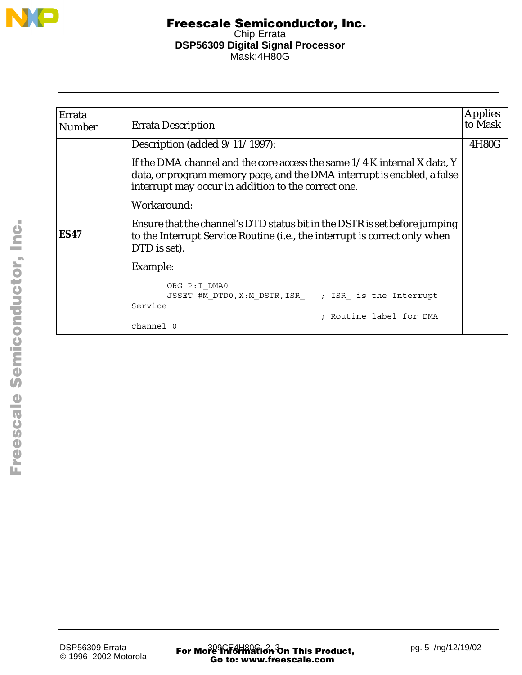

| Errata<br><b>Number</b> | <b>Errata Description</b>                                                                                                                                                                                    | <b>Applies</b><br>to Mask |
|-------------------------|--------------------------------------------------------------------------------------------------------------------------------------------------------------------------------------------------------------|---------------------------|
|                         | Description (added $9/11/1997$ ):                                                                                                                                                                            | 4H80G                     |
|                         | If the DMA channel and the core access the same $1/4$ K internal X data, Y<br>data, or program memory page, and the DMA interrupt is enabled, a false<br>interrupt may occur in addition to the correct one. |                           |
|                         | Workaround:                                                                                                                                                                                                  |                           |
| <b>ES47</b>             | Ensure that the channel's DTD status bit in the DSTR is set before jumping<br>to the Interrupt Service Routine (i.e., the interrupt is correct only when<br>DTD is set).                                     |                           |
|                         | Example:                                                                                                                                                                                                     |                           |
|                         | ORG P: I DMA0<br>JSSET #M DTD0, X: M DSTR, ISR ; ISR is the Interrupt<br>Service                                                                                                                             |                           |
|                         | Routine label for DMA<br>channel 0                                                                                                                                                                           |                           |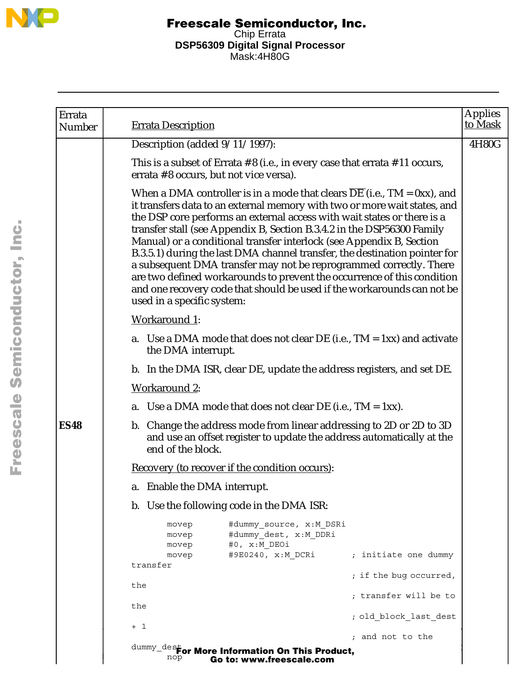

| Errata        |                                                                                                                                                                                                                                                                                                                                                                                                                                                                                                                                                                                                                                                                                                                                        | <b>Applies</b> |
|---------------|----------------------------------------------------------------------------------------------------------------------------------------------------------------------------------------------------------------------------------------------------------------------------------------------------------------------------------------------------------------------------------------------------------------------------------------------------------------------------------------------------------------------------------------------------------------------------------------------------------------------------------------------------------------------------------------------------------------------------------------|----------------|
| <b>Number</b> | <b>Errata Description</b>                                                                                                                                                                                                                                                                                                                                                                                                                                                                                                                                                                                                                                                                                                              | to Mask        |
|               | Description (added 9/11/1997):                                                                                                                                                                                                                                                                                                                                                                                                                                                                                                                                                                                                                                                                                                         | 4H80G          |
|               | This is a subset of Errata $# 8$ (i.e., in every case that errata $# 11$ occurs,<br>errata #8 occurs, but not vice versa).                                                                                                                                                                                                                                                                                                                                                                                                                                                                                                                                                                                                             |                |
|               | When a DMA controller is in a mode that clears $\overline{DE}$ (i.e., TM = 0xx), and<br>it transfers data to an external memory with two or more wait states, and<br>the DSP core performs an external access with wait states or there is a<br>transfer stall (see Appendix B, Section B.3.4.2 in the DSP56300 Family<br>Manual) or a conditional transfer interlock (see Appendix B, Section<br>B.3.5.1) during the last DMA channel transfer, the destination pointer for<br>a subsequent DMA transfer may not be reprogrammed correctly. There<br>are two defined workarounds to prevent the occurrence of this condition<br>and one recovery code that should be used if the workarounds can not be<br>used in a specific system: |                |
|               | <b>Workaround 1:</b>                                                                                                                                                                                                                                                                                                                                                                                                                                                                                                                                                                                                                                                                                                                   |                |
|               | a. Use a DMA mode that does not clear DE (i.e., $TM = 1xx$ ) and activate<br>the DMA interrupt.                                                                                                                                                                                                                                                                                                                                                                                                                                                                                                                                                                                                                                        |                |
|               | b. In the DMA ISR, clear DE, update the address registers, and set DE.                                                                                                                                                                                                                                                                                                                                                                                                                                                                                                                                                                                                                                                                 |                |
|               | <b>Workaround 2:</b>                                                                                                                                                                                                                                                                                                                                                                                                                                                                                                                                                                                                                                                                                                                   |                |
|               | a. Use a DMA mode that does not clear DE (i.e., $TM = 1xx$ ).                                                                                                                                                                                                                                                                                                                                                                                                                                                                                                                                                                                                                                                                          |                |
| <b>ES48</b>   | b. Change the address mode from linear addressing to 2D or 2D to 3D<br>and use an offset register to update the address automatically at the<br>end of the block.                                                                                                                                                                                                                                                                                                                                                                                                                                                                                                                                                                      |                |
|               | Recovery (to recover if the condition occurs):                                                                                                                                                                                                                                                                                                                                                                                                                                                                                                                                                                                                                                                                                         |                |
|               | a. Enable the DMA interrupt.                                                                                                                                                                                                                                                                                                                                                                                                                                                                                                                                                                                                                                                                                                           |                |
|               | b. Use the following code in the DMA ISR:                                                                                                                                                                                                                                                                                                                                                                                                                                                                                                                                                                                                                                                                                              |                |
|               | #dummy source, x:M DSRi<br>movep<br>#dummy dest, x:M DDRi<br>movep<br>#0, x:M DEOi<br>movep                                                                                                                                                                                                                                                                                                                                                                                                                                                                                                                                                                                                                                            |                |
|               | #9E0240, x:M DCRi<br>; initiate one dummy<br>movep<br>transfer                                                                                                                                                                                                                                                                                                                                                                                                                                                                                                                                                                                                                                                                         |                |
|               | ; if the bug occurred,                                                                                                                                                                                                                                                                                                                                                                                                                                                                                                                                                                                                                                                                                                                 |                |
|               | the<br>; transfer will be to                                                                                                                                                                                                                                                                                                                                                                                                                                                                                                                                                                                                                                                                                                           |                |
|               | the<br>; old block last dest                                                                                                                                                                                                                                                                                                                                                                                                                                                                                                                                                                                                                                                                                                           |                |
|               | $+1$<br>; and not to the                                                                                                                                                                                                                                                                                                                                                                                                                                                                                                                                                                                                                                                                                                               |                |
|               | $\texttt{dummy\_des}$ for More Information On This Product,<br>nop<br>Go to: www.freescale.com                                                                                                                                                                                                                                                                                                                                                                                                                                                                                                                                                                                                                                         |                |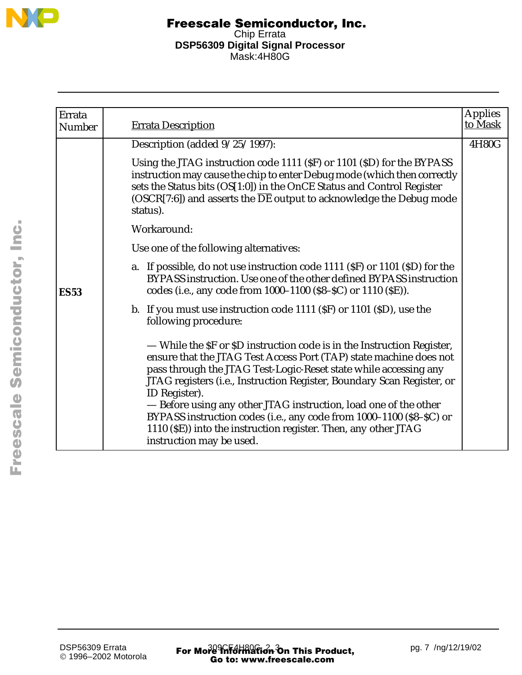

| Errata        | <b>Errata Description</b>                                                                                                                                                                                                                                                                                                                                                                                                                                                                                                                             | <b>Applies</b><br>to Mask |
|---------------|-------------------------------------------------------------------------------------------------------------------------------------------------------------------------------------------------------------------------------------------------------------------------------------------------------------------------------------------------------------------------------------------------------------------------------------------------------------------------------------------------------------------------------------------------------|---------------------------|
| <b>Number</b> |                                                                                                                                                                                                                                                                                                                                                                                                                                                                                                                                                       |                           |
|               | Description (added $9/25/1997$ ):                                                                                                                                                                                                                                                                                                                                                                                                                                                                                                                     | 4H80G                     |
|               | Using the JTAG instruction code 1111 (SF) or 1101 (SD) for the BYPASS<br>instruction may cause the chip to enter Debug mode (which then correctly<br>sets the Status bits (OS[1:0]) in the OnCE Status and Control Register<br>(OSCR[7:6]) and asserts the $\overline{DE}$ output to acknowledge the Debug mode<br>status).                                                                                                                                                                                                                           |                           |
|               | Workaround:                                                                                                                                                                                                                                                                                                                                                                                                                                                                                                                                           |                           |
|               | Use one of the following alternatives:                                                                                                                                                                                                                                                                                                                                                                                                                                                                                                                |                           |
| <b>ES53</b>   | a. If possible, do not use instruction code 1111 (SF) or 1101 (SD) for the<br>BYPASS instruction. Use one of the other defined BYPASS instruction<br>codes (i.e., any code from 1000–1100 (\$8–\$C) or 1110 (\$E)).                                                                                                                                                                                                                                                                                                                                   |                           |
|               | b. If you must use instruction code 1111 (SF) or 1101 (SD), use the<br>following procedure:                                                                                                                                                                                                                                                                                                                                                                                                                                                           |                           |
|               | — While the SF or SD instruction code is in the Instruction Register,<br>ensure that the JTAG Test Access Port (TAP) state machine does not<br>pass through the JTAG Test-Logic-Reset state while accessing any<br>JTAG registers (i.e., Instruction Register, Boundary Scan Register, or<br>ID Register).<br>- Before using any other JTAG instruction, load one of the other<br>BYPASS instruction codes (i.e., any code from 1000-1100 (\$8-\$C) or<br>1110 (\$E)) into the instruction register. Then, any other JTAG<br>instruction may be used. |                           |

F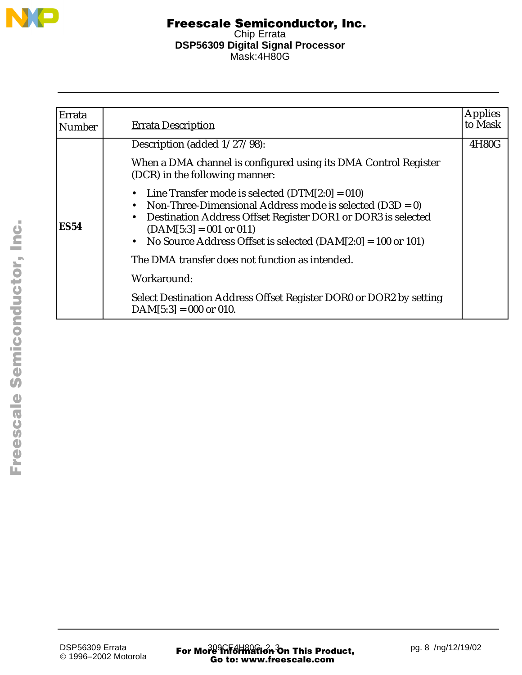

| Errata<br>Number | <b>Errata Description</b>                                                                                                                                                                                                                                                                         | <b>Applies</b><br>to Mask |
|------------------|---------------------------------------------------------------------------------------------------------------------------------------------------------------------------------------------------------------------------------------------------------------------------------------------------|---------------------------|
|                  | Description (added 1/27/98):                                                                                                                                                                                                                                                                      | 4H80G                     |
|                  | When a DMA channel is configured using its DMA Control Register<br>(DCR) in the following manner:                                                                                                                                                                                                 |                           |
| <b>ES54</b>      | • Line Transfer mode is selected $(DTM[2:0] = 010)$<br>• Non-Three-Dimensional Address mode is selected $(D3D = 0)$<br>Destination Address Offset Register DOR1 or DOR3 is selected<br>$\bullet$<br>$(DAM[5:3] = 001$ or 011)<br>• No Source Address Offset is selected $(DAM[2:0] = 100$ or 101) |                           |
|                  | The DMA transfer does not function as intended.                                                                                                                                                                                                                                                   |                           |
|                  | Workaround:                                                                                                                                                                                                                                                                                       |                           |
|                  | Select Destination Address Offset Register DOR0 or DOR2 by setting<br>$DAM[5:3] = 000$ or 010.                                                                                                                                                                                                    |                           |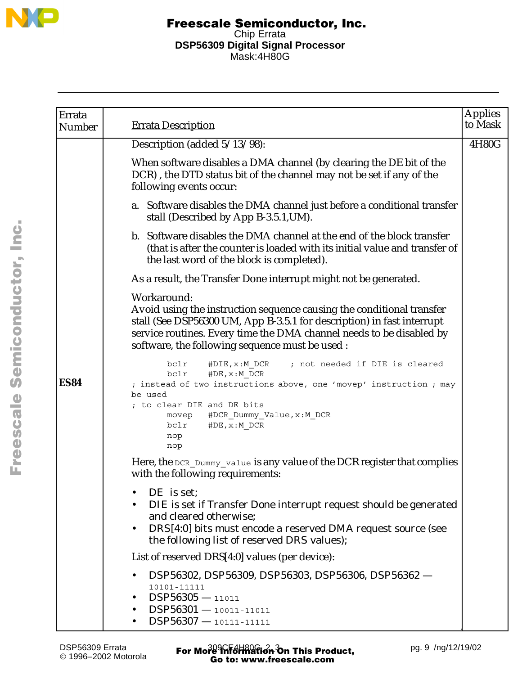

| Errata<br>Number | <b>Errata Description</b>                                                                                                                                                                                                                                                                 | <b>Applies</b><br>to Mask |
|------------------|-------------------------------------------------------------------------------------------------------------------------------------------------------------------------------------------------------------------------------------------------------------------------------------------|---------------------------|
|                  | Description (added 5/13/98):                                                                                                                                                                                                                                                              | 4H80G                     |
|                  | When software disables a DMA channel (by clearing the DE bit of the<br>DCR), the DTD status bit of the channel may not be set if any of the<br>following events occur:                                                                                                                    |                           |
|                  | a. Software disables the DMA channel just before a conditional transfer<br>stall (Described by App B-3.5.1, UM).                                                                                                                                                                          |                           |
|                  | b. Software disables the DMA channel at the end of the block transfer<br>(that is after the counter is loaded with its initial value and transfer of<br>the last word of the block is completed).                                                                                         |                           |
|                  | As a result, the Transfer Done interrupt might not be generated.                                                                                                                                                                                                                          |                           |
|                  | Workaround:<br>Avoid using the instruction sequence causing the conditional transfer<br>stall (See DSP56300 UM, App B-3.5.1 for description) in fast interrupt<br>service routines. Every time the DMA channel needs to be disabled by<br>software, the following sequence must be used : |                           |
| <b>ES84</b>      | #DIE, x: M DCR<br>; not needed if DIE is cleared<br>bclr<br>#DE, x:M DCR<br>bclr<br>; instead of two instructions above, one 'movep' instruction ; may<br>be used<br>; to clear DIE and DE bits<br>#DCR_Dummy_Value,x:M_DCR<br>movep<br>#DE, x: M DCR<br>bclr<br>nop<br>nop               |                           |
|                  | Here, the DCR_Dummy_value is any value of the DCR register that complies<br>with the following requirements:                                                                                                                                                                              |                           |
|                  | DE is set;<br>DIE is set if Transfer Done interrupt request should be generated<br>and cleared otherwise;<br>DRS[4:0] bits must encode a reserved DMA request source (see<br>the following list of reserved DRS values);                                                                  |                           |
|                  | List of reserved DRS[4:0] values (per device):                                                                                                                                                                                                                                            |                           |
|                  | DSP56302, DSP56309, DSP56303, DSP56306, DSP56362 -<br>10101-11111<br>$DSP56305 - 11011$<br>$DSP56301 - 10011 - 11011$<br>$DSP56307 - 10111 - 11111$                                                                                                                                       |                           |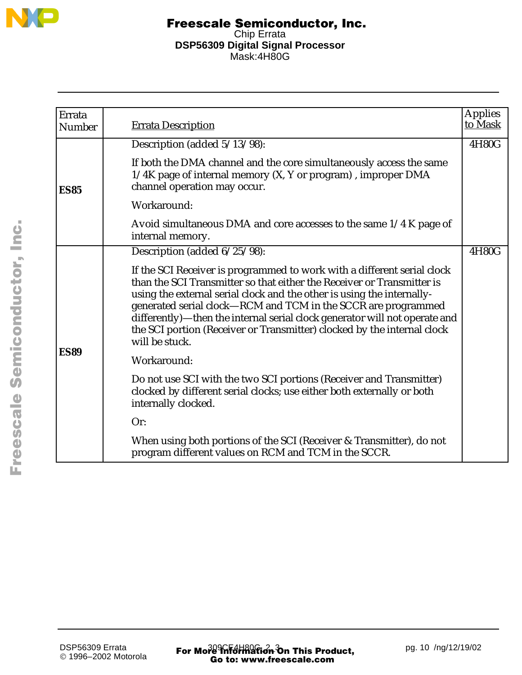

|                         |                                                                                                                                                                                                                                                                                                                                                                                                                                                                         | <b>Applies</b> |
|-------------------------|-------------------------------------------------------------------------------------------------------------------------------------------------------------------------------------------------------------------------------------------------------------------------------------------------------------------------------------------------------------------------------------------------------------------------------------------------------------------------|----------------|
| Errata<br><b>Number</b> | <b>Errata Description</b>                                                                                                                                                                                                                                                                                                                                                                                                                                               | to Mask        |
|                         | Description (added 5/13/98):                                                                                                                                                                                                                                                                                                                                                                                                                                            | 4H80G          |
| <b>ES85</b>             | If both the DMA channel and the core simultaneously access the same<br>1/4K page of internal memory (X, Y or program), improper DMA<br>channel operation may occur.                                                                                                                                                                                                                                                                                                     |                |
|                         | Workaround:                                                                                                                                                                                                                                                                                                                                                                                                                                                             |                |
|                         | Avoid simultaneous DMA and core accesses to the same 1/4 K page of<br>internal memory.                                                                                                                                                                                                                                                                                                                                                                                  |                |
|                         | Description (added 6/25/98):                                                                                                                                                                                                                                                                                                                                                                                                                                            | 4H80G          |
|                         | If the SCI Receiver is programmed to work with a different serial clock<br>than the SCI Transmitter so that either the Receiver or Transmitter is<br>using the external serial clock and the other is using the internally-<br>generated serial clock-RCM and TCM in the SCCR are programmed<br>differently)—then the internal serial clock generator will not operate and<br>the SCI portion (Receiver or Transmitter) clocked by the internal clock<br>will be stuck. |                |
| <b>ES89</b>             | Workaround:                                                                                                                                                                                                                                                                                                                                                                                                                                                             |                |
|                         | Do not use SCI with the two SCI portions (Receiver and Transmitter)<br>clocked by different serial clocks; use either both externally or both<br>internally clocked.                                                                                                                                                                                                                                                                                                    |                |
|                         | Or:                                                                                                                                                                                                                                                                                                                                                                                                                                                                     |                |
|                         | When using both portions of the SCI (Receiver & Transmitter), do not<br>program different values on RCM and TCM in the SCCR.                                                                                                                                                                                                                                                                                                                                            |                |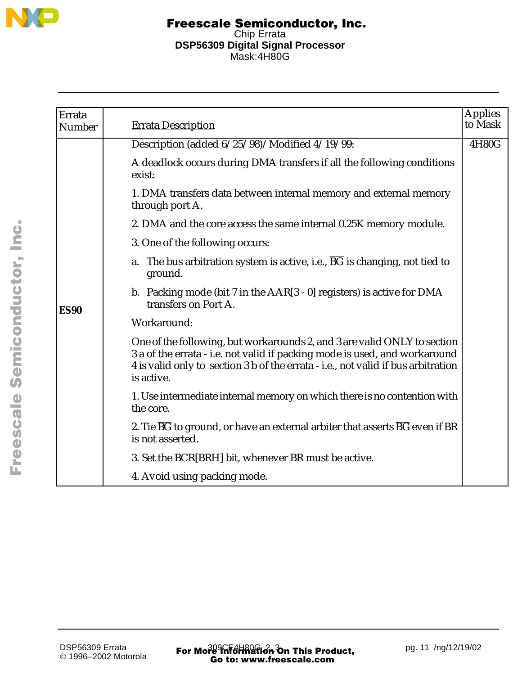

| Errata<br>Number | <b>Errata Description</b>                                                                                                                                                                                                                                 | <b>Applies</b><br>to Mask |
|------------------|-----------------------------------------------------------------------------------------------------------------------------------------------------------------------------------------------------------------------------------------------------------|---------------------------|
|                  | Description (added 6/25/98)/Modified 4/19/99:                                                                                                                                                                                                             | 4H80G                     |
|                  | A deadlock occurs during DMA transfers if all the following conditions<br>exist:                                                                                                                                                                          |                           |
|                  | 1. DMA transfers data between internal memory and external memory<br>through port A.                                                                                                                                                                      |                           |
|                  | 2. DMA and the core access the same internal 0.25K memory module.                                                                                                                                                                                         |                           |
|                  | 3. One of the following occurs:                                                                                                                                                                                                                           |                           |
|                  | The bus arbitration system is active, i.e., $\overline{BG}$ is changing, not tied to<br>a.<br>ground.                                                                                                                                                     |                           |
| <b>ES90</b>      | b. Packing mode (bit $7$ in the $AAR[3 - 0]$ registers) is active for DMA<br>transfers on Port A.                                                                                                                                                         |                           |
|                  | Workaround:                                                                                                                                                                                                                                               |                           |
|                  | One of the following, but workarounds 2, and 3 are valid ONLY to section<br>3 a of the errata - i.e. not valid if packing mode is used, and workaround<br>4 is valid only to section 3 b of the errata - i.e., not valid if bus arbitration<br>is active. |                           |
|                  | 1. Use intermediate internal memory on which there is no contention with<br>the core.                                                                                                                                                                     |                           |
|                  | 2. Tie $\overline{BG}$ to ground, or have an external arbiter that asserts $\overline{BG}$ even if BR<br>is not asserted.                                                                                                                                 |                           |
|                  | 3. Set the BCR[BRH] bit, whenever BR must be active.                                                                                                                                                                                                      |                           |
|                  | 4. Avoid using packing mode.                                                                                                                                                                                                                              |                           |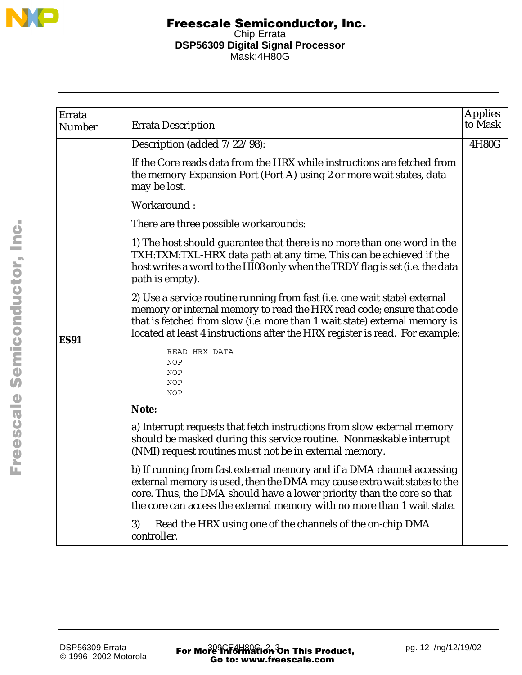

| Errata<br><b>Number</b> | <b>Errata Description</b>                                                                                                                                                                                                                                                                                        | <b>Applies</b><br>to Mask |
|-------------------------|------------------------------------------------------------------------------------------------------------------------------------------------------------------------------------------------------------------------------------------------------------------------------------------------------------------|---------------------------|
|                         | Description (added $7/22/98$ ):                                                                                                                                                                                                                                                                                  | 4H80G                     |
|                         | If the Core reads data from the HRX while instructions are fetched from<br>the memory Expansion Port (Port A) using 2 or more wait states, data<br>may be lost.                                                                                                                                                  |                           |
|                         | Workaround:                                                                                                                                                                                                                                                                                                      |                           |
|                         | There are three possible workarounds:                                                                                                                                                                                                                                                                            |                           |
|                         | 1) The host should guarantee that there is no more than one word in the<br>TXH:TXM:TXL-HRX data path at any time. This can be achieved if the<br>host writes a word to the HI08 only when the TRDY flag is set (i.e. the data<br>path is empty).                                                                 |                           |
| <b>ES91</b>             | 2) Use a service routine running from fast (i.e. one wait state) external<br>memory or internal memory to read the HRX read code; ensure that code<br>that is fetched from slow (i.e. more than 1 wait state) external memory is<br>located at least 4 instructions after the HRX register is read. For example: |                           |
|                         | READ_HRX_DATA<br>NOP<br>NOP<br>NOP<br>NOP                                                                                                                                                                                                                                                                        |                           |
|                         | Note:                                                                                                                                                                                                                                                                                                            |                           |
|                         | a) Interrupt requests that fetch instructions from slow external memory<br>should be masked during this service routine. Nonmaskable interrupt<br>(NMI) request routines must not be in external memory.                                                                                                         |                           |
|                         | b) If running from fast external memory and if a DMA channel accessing<br>external memory is used, then the DMA may cause extra wait states to the<br>core. Thus, the DMA should have a lower priority than the core so that<br>the core can access the external memory with no more than 1 wait state.          |                           |
|                         | Read the HRX using one of the channels of the on-chip DMA<br>3)<br>controller.                                                                                                                                                                                                                                   |                           |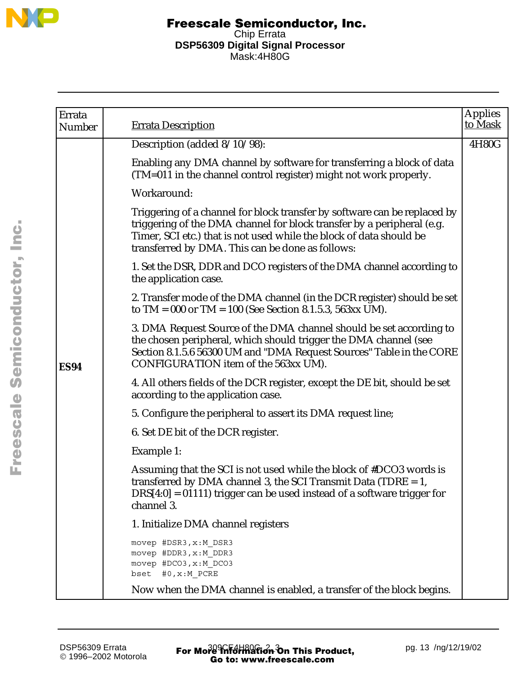

| Errata<br>Number | <b>Errata Description</b>                                                                                                                                                                                                                                                      | <b>Applies</b><br>to Mask |
|------------------|--------------------------------------------------------------------------------------------------------------------------------------------------------------------------------------------------------------------------------------------------------------------------------|---------------------------|
|                  | Description (added 8/10/98):                                                                                                                                                                                                                                                   | 4H80G                     |
|                  | Enabling any DMA channel by software for transferring a block of data<br>(TM=011 in the channel control register) might not work properly.                                                                                                                                     |                           |
|                  | Workaround:                                                                                                                                                                                                                                                                    |                           |
|                  | Triggering of a channel for block transfer by software can be replaced by<br>triggering of the DMA channel for block transfer by a peripheral (e.g.<br>Timer, SCI etc.) that is not used while the block of data should be<br>transferred by DMA. This can be done as follows: |                           |
|                  | 1. Set the DSR, DDR and DCO registers of the DMA channel according to<br>the application case.                                                                                                                                                                                 |                           |
|                  | 2. Transfer mode of the DMA channel (in the DCR register) should be set<br>to TM = 000 or TM = $100$ (See Section 8.1.5.3, 563xx UM).                                                                                                                                          |                           |
| <b>ES94</b>      | 3. DMA Request Source of the DMA channel should be set according to<br>the chosen peripheral, which should trigger the DMA channel (see<br>Section 8.1.5.6 56300 UM and "DMA Request Sources" Table in the CORE<br>CONFIGURATION item of the 563xx UM).                        |                           |
|                  | 4. All others fields of the DCR register, except the DE bit, should be set<br>according to the application case.                                                                                                                                                               |                           |
|                  | 5. Configure the peripheral to assert its DMA request line;                                                                                                                                                                                                                    |                           |
|                  | 6. Set DE bit of the DCR register.                                                                                                                                                                                                                                             |                           |
|                  | Example 1:                                                                                                                                                                                                                                                                     |                           |
|                  | Assuming that the SCI is not used while the block of #DCO3 words is<br>transferred by DMA channel 3, the SCI Transmit Data (TDRE $= 1$ ,<br>$DRS[4:0] = 01111$ ) trigger can be used instead of a software trigger for<br>channel 3.                                           |                           |
|                  | 1. Initialize DMA channel registers                                                                                                                                                                                                                                            |                           |
|                  | movep #DSR3, x:M DSR3<br>movep #DDR3, x:M DDR3<br>movep #DCO3, x:M DCO3<br>#0, x: M PCRE<br>bset                                                                                                                                                                               |                           |
|                  | Now when the DMA channel is enabled, a transfer of the block begins.                                                                                                                                                                                                           |                           |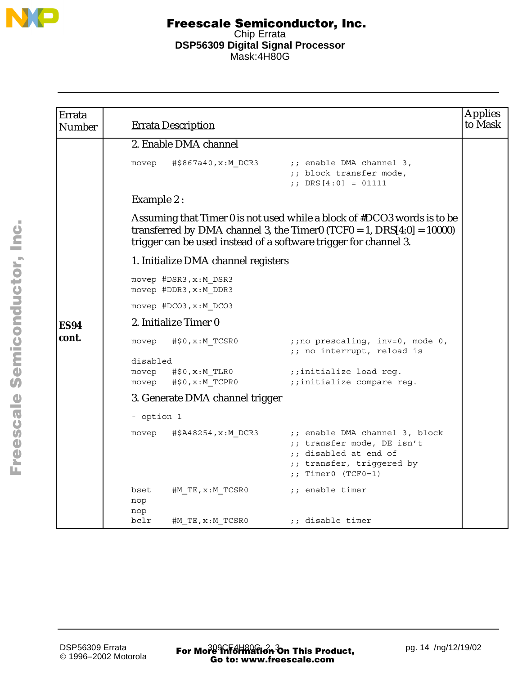

| Errata<br><b>Number</b> |                            | <b>Errata Description</b>                      |                                                                                                                                                                                                                         | <b>Applies</b><br>to Mask |
|-------------------------|----------------------------|------------------------------------------------|-------------------------------------------------------------------------------------------------------------------------------------------------------------------------------------------------------------------------|---------------------------|
|                         |                            | 2. Enable DMA channel                          |                                                                                                                                                                                                                         |                           |
|                         | movep                      | #\$867a40,x:M DCR3                             | ;; enable DMA channel 3,<br>;; block transfer mode,<br>;; DRS $[4:0] = 01111$                                                                                                                                           |                           |
|                         | Example 2:                 |                                                |                                                                                                                                                                                                                         |                           |
|                         |                            |                                                | Assuming that Timer 0 is not used while a block of #DCO3 words is to be<br>transferred by DMA channel 3, the Timer0 (TCF0 = 1, $DRS[4:0] = 10000$ )<br>trigger can be used instead of a software trigger for channel 3. |                           |
|                         |                            | 1. Initialize DMA channel registers            |                                                                                                                                                                                                                         |                           |
|                         |                            | movep #DSR3, x:M DSR3<br>movep #DDR3, x:M DDR3 |                                                                                                                                                                                                                         |                           |
|                         |                            | movep #DCO3, x:M DCO3                          |                                                                                                                                                                                                                         |                           |
| <b>ES94</b>             |                            | 2. Initialize Timer 0                          |                                                                                                                                                                                                                         |                           |
| cont.                   | movep                      | #\$0, x: M_TCSR0                               | ;; no prescaling, inv=0, mode 0,<br>;; no interrupt, reload is                                                                                                                                                          |                           |
|                         | disabled<br>movep<br>movep | #\$0,x:M TLR0<br>#\$0, x: M TCPR0              | ;;initialize load reg.<br>;;initialize compare reg.                                                                                                                                                                     |                           |
|                         |                            | 3. Generate DMA channel trigger                |                                                                                                                                                                                                                         |                           |
|                         | - option 1                 |                                                |                                                                                                                                                                                                                         |                           |
|                         | movep                      | #\$A48254,x:M DCR3                             | ;; enable DMA channel 3, block<br>;; transfer mode, DE isn't<br>;; disabled at end of<br>;; transfer, triggered by<br>;; Timer0 $(TCFO=1)$                                                                              |                           |
|                         | bset<br>nop<br>nop         | #M TE,x:M TCSR0                                | ;; enable timer                                                                                                                                                                                                         |                           |
|                         | bclr                       | #M TE, x: M TCSR0                              | ;; disable timer                                                                                                                                                                                                        |                           |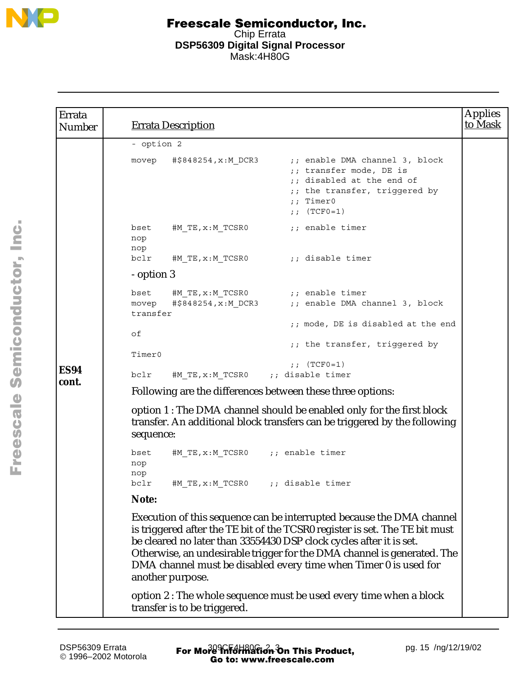

| Errata<br><b>Number</b> |                    | <b>Errata Description</b>          |                                                                                                                                                                                                                                                                                                                                                                            | <b>Applies</b><br>to Mask |
|-------------------------|--------------------|------------------------------------|----------------------------------------------------------------------------------------------------------------------------------------------------------------------------------------------------------------------------------------------------------------------------------------------------------------------------------------------------------------------------|---------------------------|
|                         | - option 2         |                                    |                                                                                                                                                                                                                                                                                                                                                                            |                           |
|                         | movep              | #\$848254,x:M DCR3                 | ;; enable DMA channel 3, block<br>;; transfer mode, DE is<br>;; disabled at the end of<br>;; the transfer, triggered by<br>$;$ Timer0<br>;; $(TCF0=1)$                                                                                                                                                                                                                     |                           |
|                         | bset<br>nop<br>nop | #M TE,x:M_TCSR0                    | ;; enable timer                                                                                                                                                                                                                                                                                                                                                            |                           |
|                         | bclr               | #M TE,x:M TCSR0                    | ;; disable timer;                                                                                                                                                                                                                                                                                                                                                          |                           |
|                         | - option 3         |                                    |                                                                                                                                                                                                                                                                                                                                                                            |                           |
|                         | bset<br>movep      | #\$848254,x:M DCR3                 | #M TE, $x : M$ TCSR0 $\qquad \qquad ;$ enable timer<br>;; enable DMA channel 3, block                                                                                                                                                                                                                                                                                      |                           |
|                         | transfer           |                                    | ;; mode, DE is disabled at the end                                                                                                                                                                                                                                                                                                                                         |                           |
|                         | оf                 |                                    |                                                                                                                                                                                                                                                                                                                                                                            |                           |
|                         | Timer0             |                                    | ;; the transfer, triggered by                                                                                                                                                                                                                                                                                                                                              |                           |
| <b>ES94</b>             |                    |                                    | ;; $(TCFO=1)$                                                                                                                                                                                                                                                                                                                                                              |                           |
| cont.                   | bclr               | #M TE, x: M TCSR0 ;; disable timer |                                                                                                                                                                                                                                                                                                                                                                            |                           |
|                         |                    |                                    | Following are the differences between these three options:                                                                                                                                                                                                                                                                                                                 |                           |
|                         | sequence:          |                                    | option 1 : The DMA channel should be enabled only for the first block<br>transfer. An additional block transfers can be triggered by the following                                                                                                                                                                                                                         |                           |
|                         | bset<br>nop<br>nop | #M TE, x: M TCSR0 ;; enable timer  |                                                                                                                                                                                                                                                                                                                                                                            |                           |
|                         | bclr               | #M_TE, x:M_TCSR0                   | ;; disable timer                                                                                                                                                                                                                                                                                                                                                           |                           |
|                         | Note:              |                                    |                                                                                                                                                                                                                                                                                                                                                                            |                           |
|                         |                    | another purpose.                   | Execution of this sequence can be interrupted because the DMA channel<br>is triggered after the TE bit of the TCSR0 register is set. The TE bit must<br>be cleared no later than 33554430 DSP clock cycles after it is set.<br>Otherwise, an undesirable trigger for the DMA channel is generated. The<br>DMA channel must be disabled every time when Timer 0 is used for |                           |
|                         |                    | transfer is to be triggered.       | option 2 : The whole sequence must be used every time when a block                                                                                                                                                                                                                                                                                                         |                           |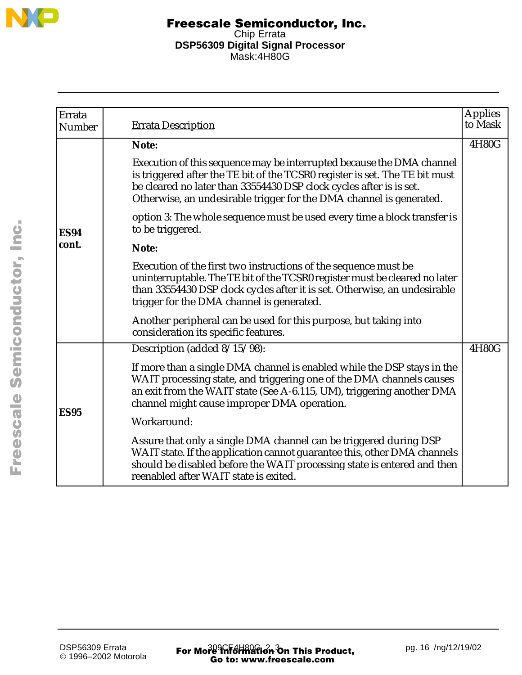

| Errata<br>Number | <b>Errata Description</b>                                                                                                                                                                                                                                                                          | <b>Applies</b><br>to Mask |
|------------------|----------------------------------------------------------------------------------------------------------------------------------------------------------------------------------------------------------------------------------------------------------------------------------------------------|---------------------------|
| <b>ES94</b>      | Note:                                                                                                                                                                                                                                                                                              | 4H80G                     |
|                  | Execution of this sequence may be interrupted because the DMA channel<br>is triggered after the TE bit of the TCSR0 register is set. The TE bit must<br>be cleared no later than 33554430 DSP clock cycles after is is set.<br>Otherwise, an undesirable trigger for the DMA channel is generated. |                           |
|                  | option 3: The whole sequence must be used every time a block transfer is<br>to be triggered.                                                                                                                                                                                                       |                           |
| cont.            | Note:                                                                                                                                                                                                                                                                                              |                           |
|                  | Execution of the first two instructions of the sequence must be<br>uninterruptable. The TE bit of the TCSR0 register must be cleared no later<br>than 33554430 DSP clock cycles after it is set. Otherwise, an undesirable<br>trigger for the DMA channel is generated.                            |                           |
|                  | Another peripheral can be used for this purpose, but taking into<br>consideration its specific features.                                                                                                                                                                                           |                           |
|                  | Description (added 8/15/98):                                                                                                                                                                                                                                                                       | 4H80G                     |
| <b>ES95</b>      | If more than a single DMA channel is enabled while the DSP stays in the<br>WAIT processing state, and triggering one of the DMA channels causes<br>an exit from the WAIT state (See A-6.115, UM), triggering another DMA<br>channel might cause improper DMA operation.                            |                           |
|                  | Workaround:                                                                                                                                                                                                                                                                                        |                           |
|                  | Assure that only a single DMA channel can be triggered during DSP<br>WAIT state. If the application cannot guarantee this, other DMA channels<br>should be disabled before the WAIT processing state is entered and then<br>reenabled after WAIT state is exited.                                  |                           |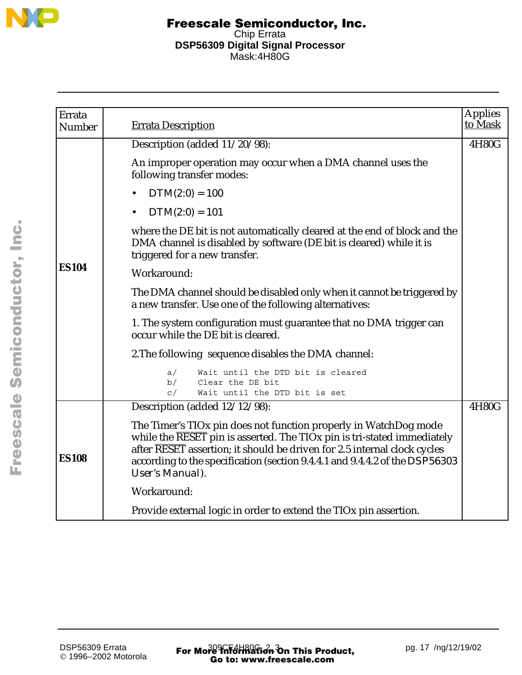

| Errata        |                                                                                                                                                                                                                                                                                                                           | <b>Applies</b> |
|---------------|---------------------------------------------------------------------------------------------------------------------------------------------------------------------------------------------------------------------------------------------------------------------------------------------------------------------------|----------------|
| <b>Number</b> | <b>Errata Description</b>                                                                                                                                                                                                                                                                                                 | to Mask        |
|               | Description (added 11/20/98):                                                                                                                                                                                                                                                                                             | 4H80G          |
|               | An improper operation may occur when a DMA channel uses the<br>following transfer modes:                                                                                                                                                                                                                                  |                |
|               | $DTM(2:0) = 100$<br>$\bullet$                                                                                                                                                                                                                                                                                             |                |
|               | $DTM(2:0) = 101$                                                                                                                                                                                                                                                                                                          |                |
|               | where the DE bit is not automatically cleared at the end of block and the<br>DMA channel is disabled by software (DE bit is cleared) while it is<br>triggered for a new transfer.                                                                                                                                         |                |
| <b>ES104</b>  | Workaround:                                                                                                                                                                                                                                                                                                               |                |
|               | The DMA channel should be disabled only when it cannot be triggered by<br>a new transfer. Use one of the following alternatives:                                                                                                                                                                                          |                |
|               | 1. The system configuration must guarantee that no DMA trigger can<br>occur while the DE bit is cleared.                                                                                                                                                                                                                  |                |
|               | 2. The following sequence disables the DMA channel:                                                                                                                                                                                                                                                                       |                |
|               | a/<br>Wait until the DTD bit is cleared                                                                                                                                                                                                                                                                                   |                |
|               | b/<br>Clear the DE bit<br>c/<br>Wait until the DTD bit is set                                                                                                                                                                                                                                                             |                |
|               | Description (added 12/12/98):                                                                                                                                                                                                                                                                                             | 4H80G          |
| <b>ES108</b>  | The Timer's TIOx pin does not function properly in WatchDog mode<br>while the RESET pin is asserted. The TIOx pin is tri-stated immediately<br>after RESET assertion; it should be driven for 2.5 internal clock cycles<br>according to the specification (section 9.4.4.1 and 9.4.4.2 of the DSP56303<br>User's Manual). |                |
|               | Workaround:                                                                                                                                                                                                                                                                                                               |                |
|               | Provide external logic in order to extend the TIO <sub>x</sub> pin assertion.                                                                                                                                                                                                                                             |                |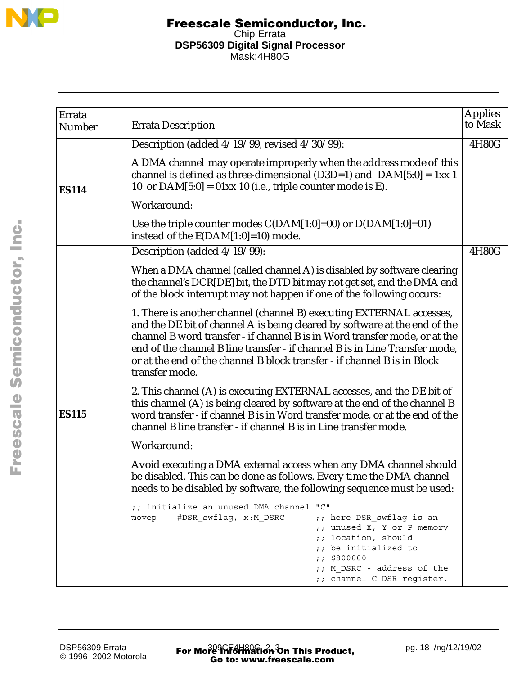

| Errata<br>Number | <b>Errata Description</b>                                                                                                                                                                                                                                                                                                                                                                                     | <b>Applies</b><br>to Mask |
|------------------|---------------------------------------------------------------------------------------------------------------------------------------------------------------------------------------------------------------------------------------------------------------------------------------------------------------------------------------------------------------------------------------------------------------|---------------------------|
|                  | Description (added 4/19/99, revised 4/30/99):                                                                                                                                                                                                                                                                                                                                                                 | 4H80G                     |
| <b>ES114</b>     | A DMA channel may operate improperly when the address mode of this<br>channel is defined as three-dimensional (D3D=1) and $DAM[5:0] = 1xx 1$<br>10 or $DAM[5:0] = 01xx$ 10 (i.e., triple counter mode is E).                                                                                                                                                                                                  |                           |
|                  | Workaround:                                                                                                                                                                                                                                                                                                                                                                                                   |                           |
|                  | Use the triple counter modes $C(DAM[1:0]=00)$ or $D(DAM[1:0]=01)$<br>instead of the $E(DAM[1:0]=10)$ mode.                                                                                                                                                                                                                                                                                                    |                           |
|                  | Description (added 4/19/99):                                                                                                                                                                                                                                                                                                                                                                                  | 4H80G                     |
|                  | When a DMA channel (called channel A) is disabled by software clearing<br>the channel's DCR[DE] bit, the DTD bit may not get set, and the DMA end<br>of the block interrupt may not happen if one of the following occurs:                                                                                                                                                                                    |                           |
|                  | 1. There is another channel (channel B) executing EXTERNAL accesses,<br>and the DE bit of channel A is being cleared by software at the end of the<br>channel B word transfer - if channel B is in Word transfer mode, or at the<br>end of the channel B line transfer - if channel B is in Line Transfer mode,<br>or at the end of the channel B block transfer - if channel B is in Block<br>transfer mode. |                           |
| <b>ES115</b>     | 2. This channel (A) is executing EXTERNAL accesses, and the DE bit of<br>this channel (A) is being cleared by software at the end of the channel B<br>word transfer - if channel B is in Word transfer mode, or at the end of the<br>channel B line transfer - if channel B is in Line transfer mode.                                                                                                         |                           |
|                  | Workaround:                                                                                                                                                                                                                                                                                                                                                                                                   |                           |
|                  | Avoid executing a DMA external access when any DMA channel should<br>be disabled. This can be done as follows. Every time the DMA channel<br>needs to be disabled by software, the following sequence must be used:                                                                                                                                                                                           |                           |
|                  | ;; initialize an unused DMA channel "C"<br>#DSR swflag, x:M DSRC<br>;; here DSR swflag is an<br>movep<br>;; unused X, Y or P memory<br>;; location, should<br>;; be initialized to<br>: 5800000<br>;; M DSRC - address of the<br>;; channel C DSR register.                                                                                                                                                   |                           |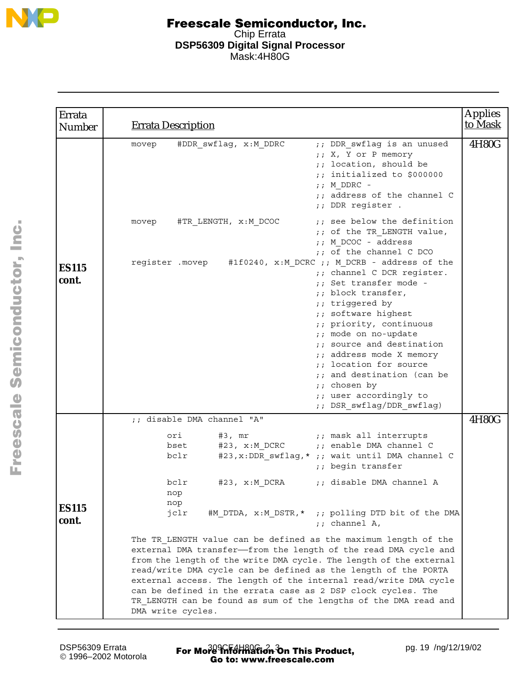

| Errata<br><b>Number</b> | <b>Errata Description</b>                                                                                                                                                                                                                                                                                                                                                                                                                                                                                                 | <b>Applies</b><br>to Mask |
|-------------------------|---------------------------------------------------------------------------------------------------------------------------------------------------------------------------------------------------------------------------------------------------------------------------------------------------------------------------------------------------------------------------------------------------------------------------------------------------------------------------------------------------------------------------|---------------------------|
|                         | ;; DDR swflag is an unused<br>#DDR swflag, x:M DDRC<br>movep<br>;; X, Y or P memory<br>;; location, should be<br>;; initialized to \$000000<br>$;$ M DDRC -<br>;; address of the channel C<br>;; DDR register .                                                                                                                                                                                                                                                                                                           | 4H80G                     |
|                         | ;; see below the definition<br>#TR_LENGTH, x:M_DCOC<br>movep<br>;; of the TR LENGTH value,<br>;; M DCOC - address<br>;; of the channel C DCO                                                                                                                                                                                                                                                                                                                                                                              |                           |
| <b>ES115</b><br>cont.   | register .movep #1f0240, x:M_DCRC ;; M DCRB - address of the<br>;; channel C DCR register.<br>: Set transfer mode -<br>;; block transfer,<br>;; triggered by<br>;; software highest<br>;; priority, continuous<br>;; mode on no-update<br>;; source and destination<br>;; address mode X memory<br>;; location for source<br>;; and destination (can be<br>;; chosen by<br>;; user accordingly to<br>;; DSR swflag/DDR swflag)                                                                                            |                           |
|                         | ;; disable DMA channel "A"                                                                                                                                                                                                                                                                                                                                                                                                                                                                                                | 4H80G                     |
|                         | $#3$ , $mr$<br>;; mask all interrupts<br>ori<br>#23, x:M DCRC<br>;; enable DMA channel C<br>bset<br>#23, x: DDR swflag, * ;; wait until DMA channel C<br>bclr<br>;; begin transfer                                                                                                                                                                                                                                                                                                                                        |                           |
| <b>ES115</b>            | ;; disable DMA channel A<br>bclr<br>#23, x:M_DCRA<br>nop<br>nop<br>#M DTDA, x:M DSTR,* ;; polling DTD bit of the DMA<br>jclr                                                                                                                                                                                                                                                                                                                                                                                              |                           |
| cont.                   | $;$ channel A,<br>The TR LENGTH value can be defined as the maximum length of the<br>external DMA transfer-from the length of the read DMA cycle and<br>from the length of the write DMA cycle. The length of the external<br>read/write DMA cycle can be defined as the length of the PORTA<br>external access. The length of the internal read/write DMA cycle<br>can be defined in the errata case as 2 DSP clock cycles. The<br>TR LENGTH can be found as sum of the lengths of the DMA read and<br>DMA write cycles. |                           |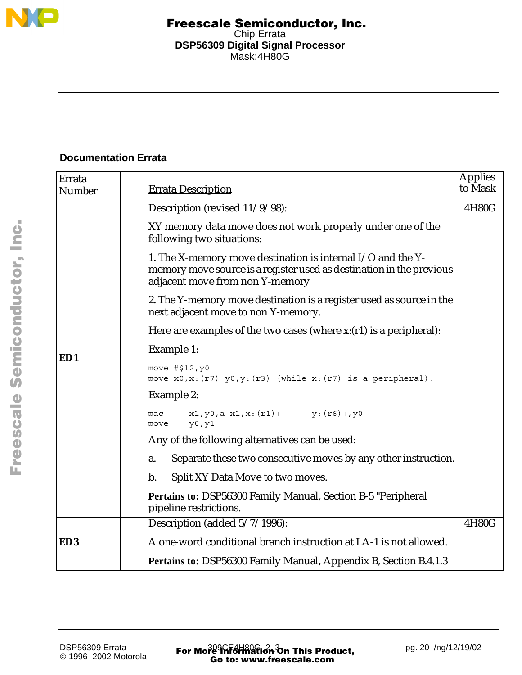

## **Documentation Errata**

| Errata<br>Number | <b>Errata Description</b>                                                                                                                                              | <b>Applies</b><br>to Mask |
|------------------|------------------------------------------------------------------------------------------------------------------------------------------------------------------------|---------------------------|
|                  | Description (revised 11/9/98):                                                                                                                                         | 4H80G                     |
|                  | XY memory data move does not work properly under one of the<br>following two situations:                                                                               |                           |
|                  | 1. The X-memory move destination is internal I/O and the Y-<br>memory move source is a register used as destination in the previous<br>adjacent move from non Y-memory |                           |
|                  | 2. The Y-memory move destination is a register used as source in the<br>next adjacent move to non Y-memory.                                                            |                           |
|                  | Here are examples of the two cases (where $x:(r1)$ is a peripheral):                                                                                                   |                           |
| ED1              | Example 1:                                                                                                                                                             |                           |
|                  | move #\$12, y0<br>move $x0, x: (r7)$ $y0, y: (r3)$ (while $x: (r7)$ is a peripheral).                                                                                  |                           |
|                  | Example 2:                                                                                                                                                             |                           |
|                  | $x1, y0, a x1, x: (r1) + y: (r6) + y0$<br>mac<br>y0, y1<br>move                                                                                                        |                           |
|                  | Any of the following alternatives can be used:                                                                                                                         |                           |
|                  | Separate these two consecutive moves by any other instruction.<br>a.                                                                                                   |                           |
|                  | Split XY Data Move to two moves.<br>b.                                                                                                                                 |                           |
|                  | <b>Pertains to: DSP56300 Family Manual, Section B-5 "Peripheral</b><br>pipeline restrictions.                                                                          |                           |
|                  | Description (added 5/7/1996):                                                                                                                                          | 4H80G                     |
| ED <sub>3</sub>  | A one-word conditional branch instruction at LA-1 is not allowed.                                                                                                      |                           |
|                  | Pertains to: DSP56300 Family Manual, Appendix B, Section B.4.1.3                                                                                                       |                           |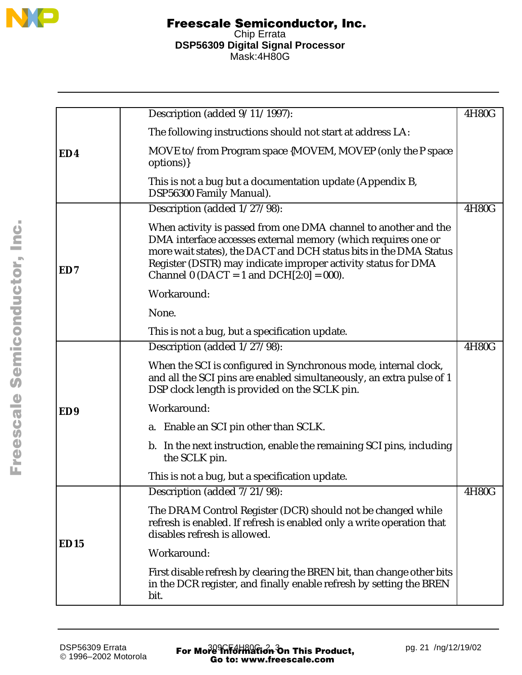

|                 | Description (added 9/11/1997):                                                                                                                                                                                                                                                                                         | 4H80G |
|-----------------|------------------------------------------------------------------------------------------------------------------------------------------------------------------------------------------------------------------------------------------------------------------------------------------------------------------------|-------|
|                 | The following instructions should not start at address LA:                                                                                                                                                                                                                                                             |       |
| ED4             | MOVE to/from Program space {MOVEM, MOVEP (only the P space<br>options) }                                                                                                                                                                                                                                               |       |
|                 | This is not a bug but a documentation update (Appendix B,<br>DSP56300 Family Manual).                                                                                                                                                                                                                                  |       |
|                 | Description (added 1/27/98):                                                                                                                                                                                                                                                                                           | 4H80G |
| ED7             | When activity is passed from one DMA channel to another and the<br>DMA interface accesses external memory (which requires one or<br>more wait states), the DACT and DCH status bits in the DMA Status<br>Register (DSTR) may indicate improper activity status for DMA<br>Channel 0 (DACT = 1 and DCH $[2:0] = 000$ ). |       |
|                 | Workaround:                                                                                                                                                                                                                                                                                                            |       |
|                 | None.                                                                                                                                                                                                                                                                                                                  |       |
|                 | This is not a bug, but a specification update.                                                                                                                                                                                                                                                                         |       |
|                 | Description (added 1/27/98):                                                                                                                                                                                                                                                                                           | 4H80G |
|                 | When the SCI is configured in Synchronous mode, internal clock,<br>and all the SCI pins are enabled simultaneously, an extra pulse of 1<br>DSP clock length is provided on the SCLK pin.                                                                                                                               |       |
| ED <sub>9</sub> | Workaround:                                                                                                                                                                                                                                                                                                            |       |
|                 | a. Enable an SCI pin other than SCLK.                                                                                                                                                                                                                                                                                  |       |
|                 | b. In the next instruction, enable the remaining SCI pins, including<br>the SCLK pin.                                                                                                                                                                                                                                  |       |
|                 | This is not a bug, but a specification update.                                                                                                                                                                                                                                                                         |       |
|                 | Description (added $7/21/98$ ):                                                                                                                                                                                                                                                                                        | 4H80G |
| <b>ED15</b>     | The DRAM Control Register (DCR) should not be changed while<br>refresh is enabled. If refresh is enabled only a write operation that<br>disables refresh is allowed.                                                                                                                                                   |       |
|                 | Workaround:                                                                                                                                                                                                                                                                                                            |       |
|                 | First disable refresh by clearing the BREN bit, than change other bits<br>in the DCR register, and finally enable refresh by setting the BREN<br>bit.                                                                                                                                                                  |       |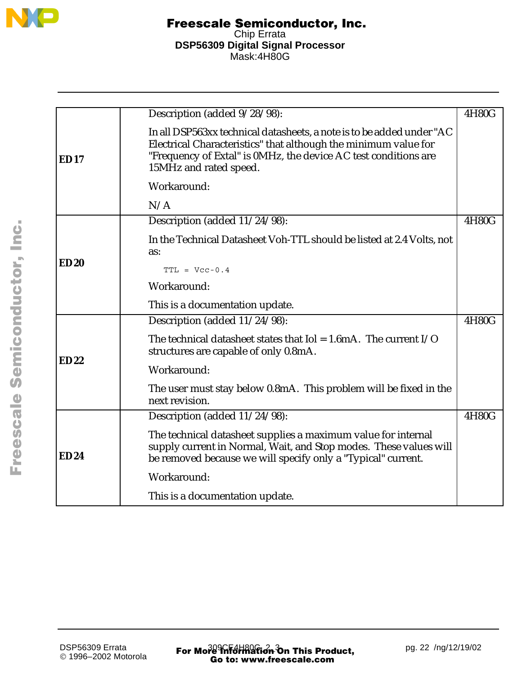

|             | Description (added 9/28/98):                                                                                                                                                                                                          | 4H80G |
|-------------|---------------------------------------------------------------------------------------------------------------------------------------------------------------------------------------------------------------------------------------|-------|
| <b>ED17</b> | In all DSP563xx technical datasheets, a note is to be added under "AC<br>Electrical Characteristics" that although the minimum value for<br>"Frequency of Extal" is 0MHz, the device AC test conditions are<br>15MHz and rated speed. |       |
|             | Workaround:                                                                                                                                                                                                                           |       |
|             | N/A                                                                                                                                                                                                                                   |       |
|             | Description (added 11/24/98):                                                                                                                                                                                                         | 4H80G |
|             | In the Technical Datasheet Voh-TTL should be listed at 2.4 Volts, not<br>as:                                                                                                                                                          |       |
| ED20        | $TTL = Vcc-0.4$                                                                                                                                                                                                                       |       |
|             | Workaround:                                                                                                                                                                                                                           |       |
|             | This is a documentation update.                                                                                                                                                                                                       |       |
|             | Description (added 11/24/98):                                                                                                                                                                                                         | 4H80G |
|             | The technical datasheet states that $I$ ol = 1.6mA. The current $I/O$<br>structures are capable of only 0.8mA.                                                                                                                        |       |
| <b>ED22</b> | Workaround:                                                                                                                                                                                                                           |       |
|             | The user must stay below 0.8mA. This problem will be fixed in the<br>next revision.                                                                                                                                                   |       |
|             | Description (added 11/24/98):                                                                                                                                                                                                         | 4H80G |
| <b>ED24</b> | The technical datasheet supplies a maximum value for internal<br>supply current in Normal, Wait, and Stop modes. These values will<br>be removed because we will specify only a "Typical" current.                                    |       |
|             | Workaround:                                                                                                                                                                                                                           |       |
|             | This is a documentation update.                                                                                                                                                                                                       |       |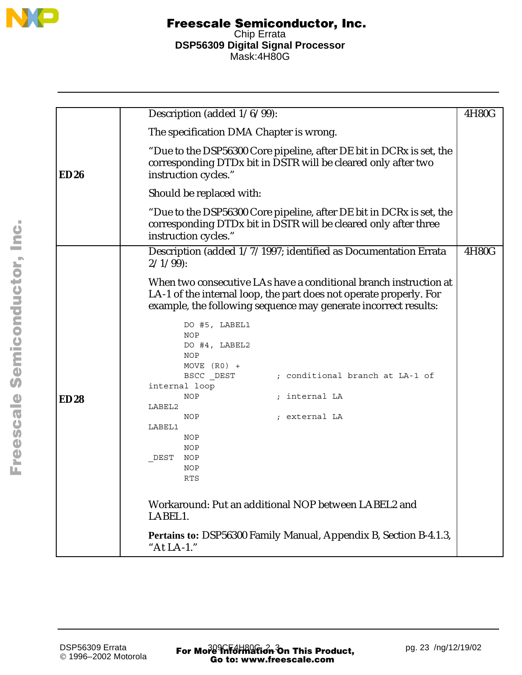

|             | Description (added $1/6/99$ ):                                                                                                                                                                             | 4H80G |
|-------------|------------------------------------------------------------------------------------------------------------------------------------------------------------------------------------------------------------|-------|
|             | The specification DMA Chapter is wrong.                                                                                                                                                                    |       |
| ED26        | "Due to the DSP56300 Core pipeline, after DE bit in DCRx is set, the<br>corresponding DTDx bit in DSTR will be cleared only after two<br>instruction cycles."                                              |       |
|             | Should be replaced with:                                                                                                                                                                                   |       |
|             | "Due to the DSP56300 Core pipeline, after DE bit in DCRx is set, the<br>corresponding DTDx bit in DSTR will be cleared only after three<br>instruction cycles."                                            |       |
|             | Description (added 1/7/1997; identified as Documentation Errata<br>$2/1/99$ :                                                                                                                              | 4H80G |
|             | When two consecutive LAs have a conditional branch instruction at<br>LA-1 of the internal loop, the part does not operate properly. For<br>example, the following sequence may generate incorrect results: |       |
|             | DO #5, LABEL1<br>NOP<br>DO #4, LABEL2<br>NOP<br>$MOVE (R0) +$                                                                                                                                              |       |
|             | BSCC DEST<br>; conditional branch at LA-1 of<br>internal loop                                                                                                                                              |       |
| <b>ED28</b> | ; internal LA<br>NOP<br>LABEL2                                                                                                                                                                             |       |
|             | ; external LA<br>NOP<br>LABEL1<br>NOP<br>NOP<br>DEST<br>NOP                                                                                                                                                |       |
|             | NOP<br><b>RTS</b>                                                                                                                                                                                          |       |
|             | Workaround: Put an additional NOP between LABEL2 and<br>LABEL1.                                                                                                                                            |       |
|             | Pertains to: DSP56300 Family Manual, Appendix B, Section B-4.1.3,<br>"At LA-1."                                                                                                                            |       |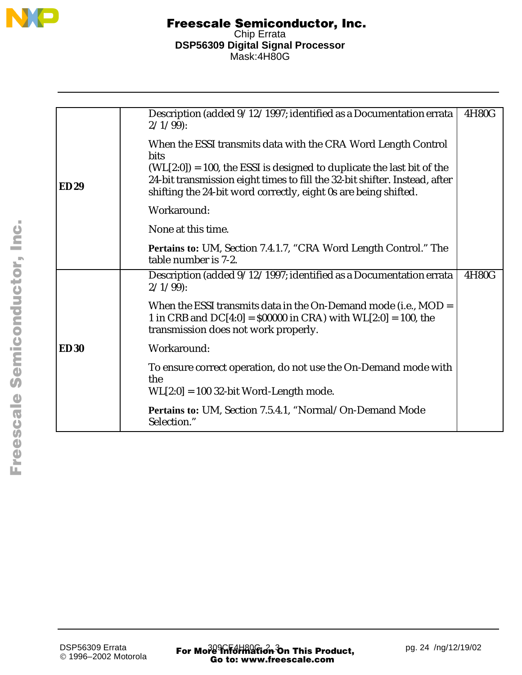

|             | Description (added 9/12/1997; identified as a Documentation errata<br>$2/1/99$ :                                                                                                                                           | 4H80G |
|-------------|----------------------------------------------------------------------------------------------------------------------------------------------------------------------------------------------------------------------------|-------|
|             | When the ESSI transmits data with the CRA Word Length Control<br>bits                                                                                                                                                      |       |
| <b>ED29</b> | $(WL[2:0]) = 100$ , the ESSI is designed to duplicate the last bit of the<br>24-bit transmission eight times to fill the 32-bit shifter. Instead, after<br>shifting the 24-bit word correctly, eight 0s are being shifted. |       |
|             | Workaround:                                                                                                                                                                                                                |       |
|             | None at this time.                                                                                                                                                                                                         |       |
|             | Pertains to: UM, Section 7.4.1.7, "CRA Word Length Control." The<br>table number is 7-2.                                                                                                                                   |       |
|             | Description (added 9/12/1997; identified as a Documentation errata<br>$2/1/99$ :                                                                                                                                           | 4H80G |
|             | When the ESSI transmits data in the On-Demand mode (i.e., $MOD =$<br>1 in CRB and $DC[4:0] = $00000$ in CRA) with $WL[2:0] = 100$ , the<br>transmission does not work properly.                                            |       |
| <b>ED30</b> | Workaround:                                                                                                                                                                                                                |       |
|             | To ensure correct operation, do not use the On-Demand mode with<br>the<br>$WL[2:0] = 100$ 32-bit Word-Length mode.                                                                                                         |       |
|             | Pertains to: UM, Section 7.5.4.1, "Normal/On-Demand Mode<br>Selection."                                                                                                                                                    |       |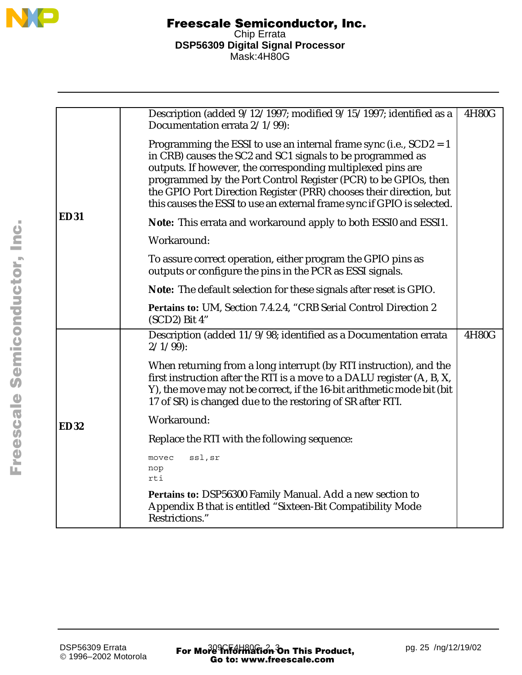

|             | Description (added 9/12/1997; modified 9/15/1997; identified as a<br>Documentation errata 2/1/99):                                                                                                                                                                                                                                                                                                                     | 4H80G |
|-------------|------------------------------------------------------------------------------------------------------------------------------------------------------------------------------------------------------------------------------------------------------------------------------------------------------------------------------------------------------------------------------------------------------------------------|-------|
|             | Programming the ESSI to use an internal frame sync (i.e., $SCD2 = 1$<br>in CRB) causes the SC2 and SC1 signals to be programmed as<br>outputs. If however, the corresponding multiplexed pins are<br>programmed by the Port Control Register (PCR) to be GPIOs, then<br>the GPIO Port Direction Register (PRR) chooses their direction, but<br>this causes the ESSI to use an external frame sync if GPIO is selected. |       |
| <b>ED31</b> | Note: This errata and workaround apply to both ESSI0 and ESSI1.                                                                                                                                                                                                                                                                                                                                                        |       |
|             | Workaround:                                                                                                                                                                                                                                                                                                                                                                                                            |       |
|             | To assure correct operation, either program the GPIO pins as<br>outputs or configure the pins in the PCR as ESSI signals.                                                                                                                                                                                                                                                                                              |       |
|             | Note: The default selection for these signals after reset is GPIO.                                                                                                                                                                                                                                                                                                                                                     |       |
|             | Pertains to: UM, Section 7.4.2.4, "CRB Serial Control Direction 2<br>$(SCD2)$ Bit 4"                                                                                                                                                                                                                                                                                                                                   |       |
|             | Description (added 11/9/98; identified as a Documentation errata<br>$2/1/99$ :                                                                                                                                                                                                                                                                                                                                         | 4H80G |
|             | When returning from a long interrupt (by RTI instruction), and the<br>first instruction after the RTI is a move to a DALU register (A, B, X,<br>Y), the move may not be correct, if the 16-bit arithmetic mode bit (bit<br>17 of SR) is changed due to the restoring of SR after RTI.                                                                                                                                  |       |
| <b>ED32</b> | Workaround:                                                                                                                                                                                                                                                                                                                                                                                                            |       |
|             | Replace the RTI with the following sequence:                                                                                                                                                                                                                                                                                                                                                                           |       |
|             | ssl, sr<br>movec<br>nop<br>rti                                                                                                                                                                                                                                                                                                                                                                                         |       |
|             | Pertains to: DSP56300 Family Manual. Add a new section to<br>Appendix B that is entitled "Sixteen-Bit Compatibility Mode<br>Restrictions."                                                                                                                                                                                                                                                                             |       |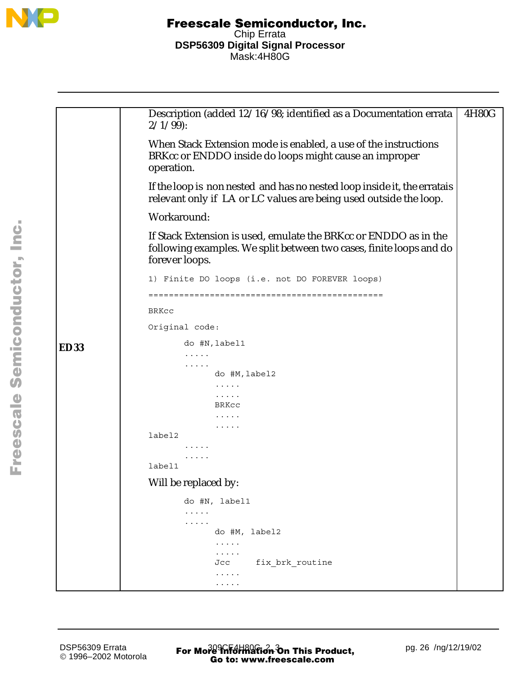

**ED33** Description (added 12/16/98; identified as a Documentation errata  $2/1/99$ : When Stack Extension mode is enabled, a use of the instructions BRKcc or ENDDO inside do loops might cause an improper operation. If the loop is non nested and has no nested loop inside it, the erratais relevant only if LA or LC values are being used outside the loop. Workaround: If Stack Extension is used, emulate the BRKcc or ENDDO as in the following examples. We split between two cases, finite loops and do forever loops. 1) Finite DO loops (i.e. not DO FOREVER loops) ============================================== BRKcc Original code: do #N,label1 ..... ..... do #M,label2 ..... ..... BRKcc ..... ..... label2 ..... ..... label1 Will be replaced by: do #N, label1 ..... ..... do #M, label2 ..... ..... Jcc fix brk routine ..... ..... 4H80G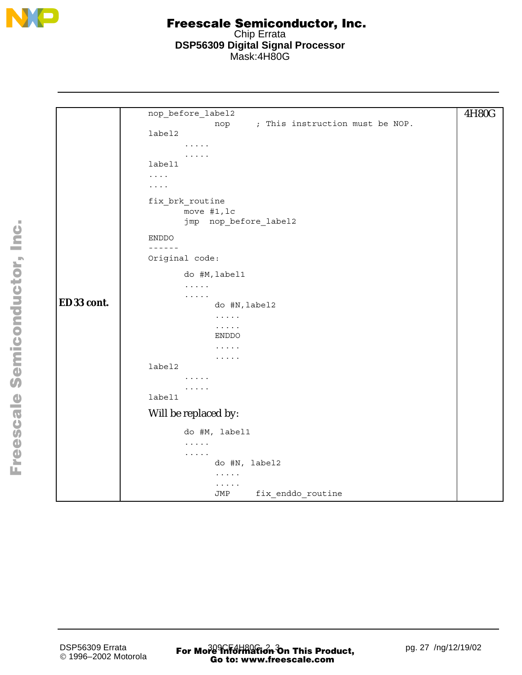

```
ED33 cont.
      nop_before_label2
                   nop ; This instruction must be NOP.
      label2
             .....
             .....
      label1
      ....
      ....
      fix_brk_routine
             move #1,lc
             jmp nop_before_label2
      ENDDO
      ------
      Original code:
             do #M,label1
             .....
             .....
                   do #N,label2
                   .....
                   .....
                   ENDDO
                    .....
                   .....
      label2
             .....
             .....
      label1
      Will be replaced by:
             do #M, label1
             .....
             .....
                   do #N, label2
                    .....
                    .....
                   JMP fix_enddo_routine
                                                                      4H80G
```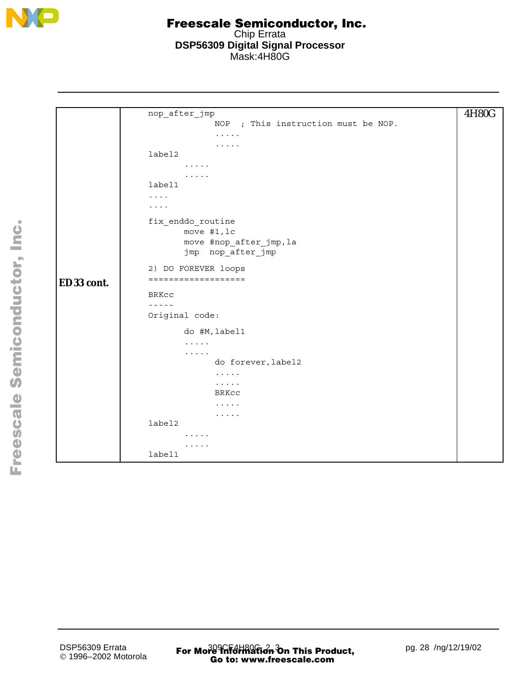

|            | nop_after_jmp                               | 4H80G |
|------------|---------------------------------------------|-------|
|            | ; This instruction must be NOP.<br>NOP      |       |
|            | $\cdots\cdots\cdots$                        |       |
|            | $\cdots\cdots\cdots$                        |       |
|            | label2                                      |       |
|            | $\cdots$                                    |       |
|            | $\cdots$<br>label1                          |       |
|            | $\cdots$                                    |       |
|            | $\cdots$                                    |       |
|            |                                             |       |
|            | fix_enddo_routine                           |       |
|            | move #1, lc                                 |       |
|            | move #nop_after_jmp, la                     |       |
|            | jmp nop_after_jmp                           |       |
|            | 2) DO FOREVER loops                         |       |
| ED33 cont. | ===================                         |       |
|            | BRKcc                                       |       |
|            | $- - - - -$                                 |       |
|            | Original code:                              |       |
|            | do #M, label1                               |       |
|            | $\cdots$                                    |       |
|            | $\cdots$                                    |       |
|            | do forever, label2                          |       |
|            | $\ldots$                                    |       |
|            | $\sim$ $\sim$ $\sim$ $\sim$ $\sim$<br>BRKCC |       |
|            | $\alpha$ , $\alpha$ , $\alpha$ , $\alpha$   |       |
|            | $\cdots$                                    |       |
|            | label2                                      |       |
|            | $\cdots$                                    |       |
|            | .                                           |       |
|            | label1                                      |       |
|            |                                             |       |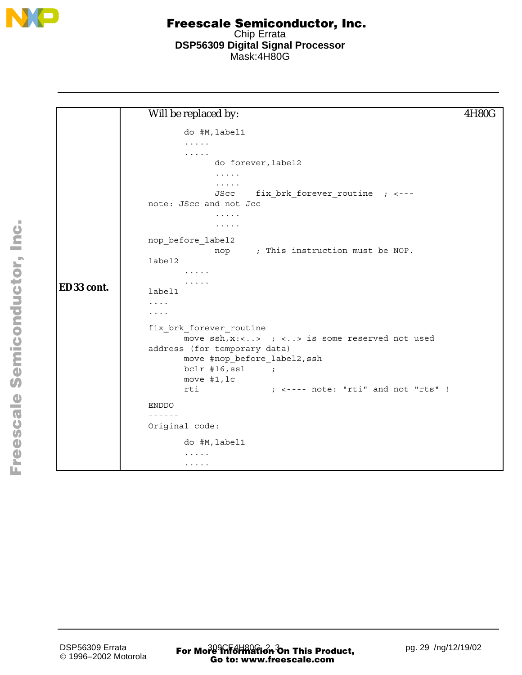

|            | Will be replaced by:                                                           | 4H80G |
|------------|--------------------------------------------------------------------------------|-------|
|            | do #M, label1                                                                  |       |
|            | .                                                                              |       |
|            | .                                                                              |       |
|            | do forever, label2                                                             |       |
|            | $\ldots$                                                                       |       |
|            | .                                                                              |       |
|            | fix_brk_forever_routine ; <---<br>JScc<br>note: JScc and not Jcc               |       |
|            |                                                                                |       |
|            | $\cdots$<br>$\cdots$                                                           |       |
|            |                                                                                |       |
|            | nop before label2                                                              |       |
|            | nop ; This instruction must be NOP.                                            |       |
|            | label2                                                                         |       |
|            | $\cdots$                                                                       |       |
| ED33 cont. | $\cdots$<br>label1                                                             |       |
|            | $\cdots$                                                                       |       |
|            | $\cdots$                                                                       |       |
|            | fix_brk_forever_routine                                                        |       |
|            | move $ssh, x: \langle . \rangle$ ; $\langle \rangle$ is some reserved not used |       |
|            | address (for temporary data)                                                   |       |
|            | move #nop_before_label2, ssh                                                   |       |
|            | $bc1r$ #16, ssl ;                                                              |       |
|            | move #1, lc                                                                    |       |
|            | $;$ <---- note: "rti" and not "rts" !<br>rti                                   |       |
|            | <b>ENDDO</b>                                                                   |       |
|            | $- - - - - -$                                                                  |       |
|            | Original code:                                                                 |       |
|            | do #M, label1                                                                  |       |
|            | .                                                                              |       |
|            | .                                                                              |       |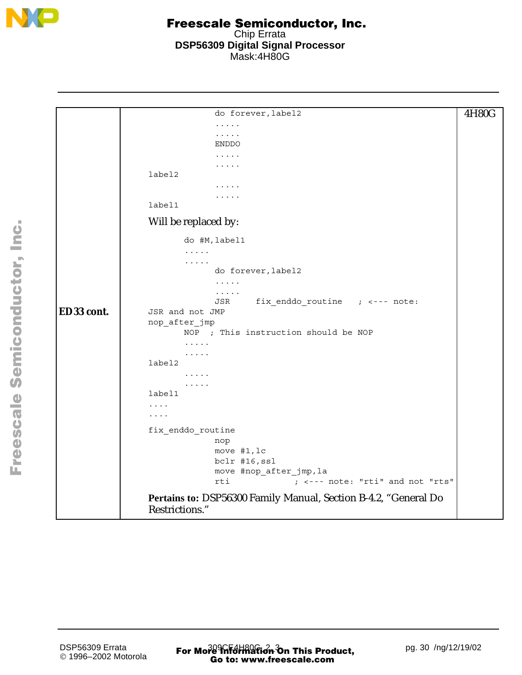

|            | do forever, label2                                                                | 4H80G |
|------------|-----------------------------------------------------------------------------------|-------|
|            | $\cdots\cdots\cdots$                                                              |       |
|            | .<br><b>ENDDO</b>                                                                 |       |
|            | $\cdots$                                                                          |       |
|            | .                                                                                 |       |
|            | label2                                                                            |       |
|            | .                                                                                 |       |
|            |                                                                                   |       |
|            | label1                                                                            |       |
|            | Will be replaced by:                                                              |       |
|            | do #M, label1                                                                     |       |
|            | $\cdots$                                                                          |       |
|            | $\mathbf{1} \cdot \mathbf{1} \cdot \mathbf{1} \cdot \mathbf{1} \cdot \mathbf{1}$  |       |
|            | do forever, label2                                                                |       |
|            | $\cdots$<br>.                                                                     |       |
|            | fix enddo routine $;$ <--- note:<br>JSR                                           |       |
| ED33 cont. | JSR and not JMP                                                                   |       |
|            | nop_after_jmp                                                                     |       |
|            | NOP ; This instruction should be NOP                                              |       |
|            | $\cdots$                                                                          |       |
|            | $\cdots\cdots\cdots$                                                              |       |
|            | label2                                                                            |       |
|            | 1.1.1.1                                                                           |       |
|            | .<br>label1                                                                       |       |
|            |                                                                                   |       |
|            | $\cdots$<br>.                                                                     |       |
|            |                                                                                   |       |
|            | fix_enddo_routine                                                                 |       |
|            | nop                                                                               |       |
|            | move #1, lc                                                                       |       |
|            | bclr #16, ssl<br>move #nop_after_jmp, la                                          |       |
|            | rti<br>; <--- note: "rti" and not "rts"                                           |       |
|            |                                                                                   |       |
|            | Pertains to: DSP56300 Family Manual, Section B-4.2, "General Do<br>Restrictions." |       |
|            |                                                                                   |       |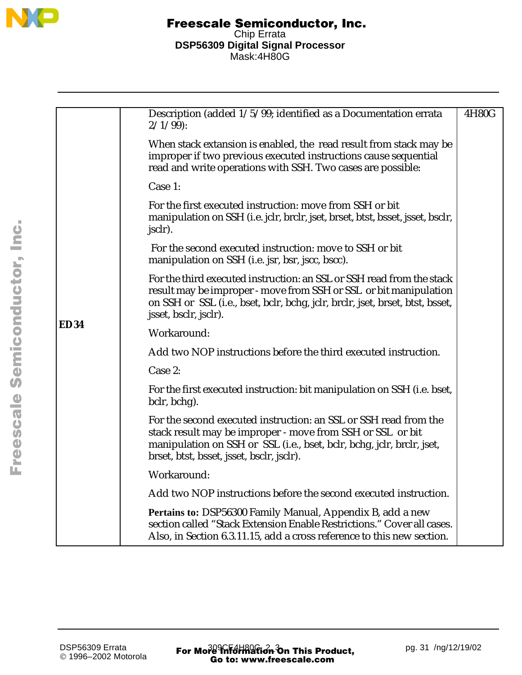

|      | Description (added 1/5/99; identified as a Documentation errata<br>$2/1/99$ :                                                                                                                                                                         | 4H80G |
|------|-------------------------------------------------------------------------------------------------------------------------------------------------------------------------------------------------------------------------------------------------------|-------|
|      | When stack extansion is enabled, the read result from stack may be<br>improper if two previous executed instructions cause sequential<br>read and write operations with SSH. Two cases are possible:                                                  |       |
|      | Case 1:                                                                                                                                                                                                                                               |       |
|      | For the first executed instruction: move from SSH or bit<br>manipulation on SSH (i.e. jclr, brclr, jset, brset, btst, bsset, jsset, bsclr,<br>jsclr).                                                                                                 |       |
|      | For the second executed instruction: move to SSH or bit<br>manipulation on SSH (i.e. jsr, bsr, jscc, bscc).                                                                                                                                           |       |
|      | For the third executed instruction: an SSL or SSH read from the stack<br>result may be improper - move from SSH or SSL or bit manipulation<br>on SSH or SSL (i.e., bset, bclr, bchg, jclr, brclr, jset, brset, btst, bsset,<br>jsset, bsclr, jsclr).  |       |
| ED34 | Workaround:                                                                                                                                                                                                                                           |       |
|      | Add two NOP instructions before the third executed instruction.                                                                                                                                                                                       |       |
|      | Case 2:                                                                                                                                                                                                                                               |       |
|      | For the first executed instruction: bit manipulation on SSH (i.e. bset,<br>bclr, bchg).                                                                                                                                                               |       |
|      | For the second executed instruction: an SSL or SSH read from the<br>stack result may be improper - move from SSH or SSL or bit<br>manipulation on SSH or SSL (i.e., bset, bclr, bchg, jclr, brclr, jset,<br>brset, btst, bsset, jsset, bsclr, jsclr). |       |
|      | Workaround:                                                                                                                                                                                                                                           |       |
|      | Add two NOP instructions before the second executed instruction.                                                                                                                                                                                      |       |
|      | Pertains to: DSP56300 Family Manual, Appendix B, add a new<br>section called "Stack Extension Enable Restrictions." Cover all cases.<br>Also, in Section 6.3.11.15, add a cross reference to this new section.                                        |       |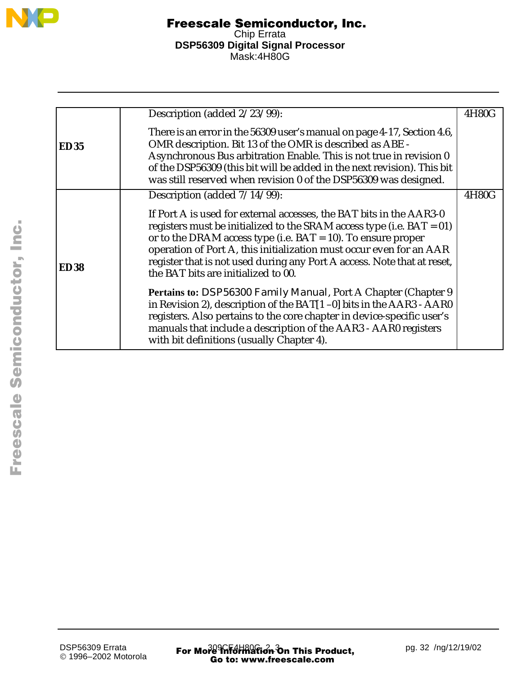

|             | Description (added 2/23/99):                                                                                                                                                                                                                                                                                                                                                                                | 4H80G |
|-------------|-------------------------------------------------------------------------------------------------------------------------------------------------------------------------------------------------------------------------------------------------------------------------------------------------------------------------------------------------------------------------------------------------------------|-------|
| <b>ED35</b> | There is an error in the 56309 user's manual on page 4-17, Section 4.6,<br>OMR description. Bit 13 of the OMR is described as ABE -<br>Asynchronous Bus arbitration Enable. This is not true in revision 0<br>of the DSP56309 (this bit will be added in the next revision). This bit<br>was still reserved when revision 0 of the DSP56309 was designed.                                                   |       |
|             | Description (added $7/14/99$ ):                                                                                                                                                                                                                                                                                                                                                                             | 4H80G |
| <b>ED38</b> | If Port A is used for external accesses, the BAT bits in the AAR3-0<br>registers must be initialized to the SRAM access type (i.e. $BAT = 01$ )<br>or to the DRAM access type (i.e. $BAT = 10$ ). To ensure proper<br>operation of Port A, this initialization must occur even for an AAR<br>register that is not used during any Port A access. Note that at reset,<br>the BAT bits are initialized to 00. |       |
|             | Pertains to: DSP56300 Family Manual, Port A Chapter (Chapter 9<br>in Revision 2), description of the BAT[1-0] bits in the AAR3 - AAR0<br>registers. Also pertains to the core chapter in device-specific user's<br>manuals that include a description of the AAR3 - AAR0 registers<br>with bit definitions (usually Chapter 4).                                                                             |       |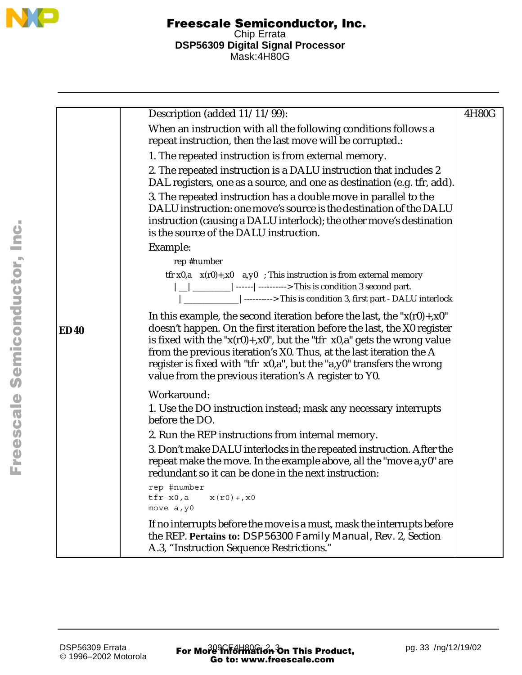

|             | Description (added 11/11/99):                                                                                                                                                                                                                                                                                                                                                                                                                     | 4H80G |
|-------------|---------------------------------------------------------------------------------------------------------------------------------------------------------------------------------------------------------------------------------------------------------------------------------------------------------------------------------------------------------------------------------------------------------------------------------------------------|-------|
|             | When an instruction with all the following conditions follows a<br>repeat instruction, then the last move will be corrupted.:                                                                                                                                                                                                                                                                                                                     |       |
|             | 1. The repeated instruction is from external memory.                                                                                                                                                                                                                                                                                                                                                                                              |       |
|             | 2. The repeated instruction is a DALU instruction that includes 2<br>DAL registers, one as a source, and one as destination (e.g. tfr, add).                                                                                                                                                                                                                                                                                                      |       |
|             | 3. The repeated instruction has a double move in parallel to the<br>DALU instruction: one move's source is the destination of the DALU<br>instruction (causing a DALU interlock); the other move's destination                                                                                                                                                                                                                                    |       |
|             | is the source of the DALU instruction.                                                                                                                                                                                                                                                                                                                                                                                                            |       |
|             | Example:                                                                                                                                                                                                                                                                                                                                                                                                                                          |       |
|             | rep #number<br>tfr x0,a $x(r0)$ +,x0 a,y0 ; This instruction is from external memory<br>$\vert$ _ $\vert$ ________   ------   ----------> This is condition 3 second part.<br> ________________ ----------> This is condition 3, first part - DALU interlock                                                                                                                                                                                      |       |
| <b>ED40</b> | In this example, the second iteration before the last, the " $x(r0) + x0$ "<br>doesn't happen. On the first iteration before the last, the X0 register<br>is fixed with the " $x(r0) + x0$ ", but the "tfr $x0$ ,a" gets the wrong value<br>from the previous iteration's X0. Thus, at the last iteration the A<br>register is fixed with "tfr x0,a", but the "a,y0" transfers the wrong<br>value from the previous iteration's A register to Y0. |       |
|             | Workaround:<br>1. Use the DO instruction instead; mask any necessary interrupts<br>before the DO.                                                                                                                                                                                                                                                                                                                                                 |       |
|             | 2. Run the REP instructions from internal memory.                                                                                                                                                                                                                                                                                                                                                                                                 |       |
|             | 3. Don't make DALU interlocks in the repeated instruction. After the<br>repeat make the move. In the example above, all the "move a, y0" are<br>redundant so it can be done in the next instruction:                                                                                                                                                                                                                                              |       |
|             | rep #number<br>tfr x0,a<br>$x(r0) + x0$<br>move a, y0                                                                                                                                                                                                                                                                                                                                                                                             |       |
|             | If no interrupts before the move is a must, mask the interrupts before<br>the REP. Pertains to: DSP56300 Family Manual, Rev. 2, Section<br>A.3, "Instruction Sequence Restrictions."                                                                                                                                                                                                                                                              |       |